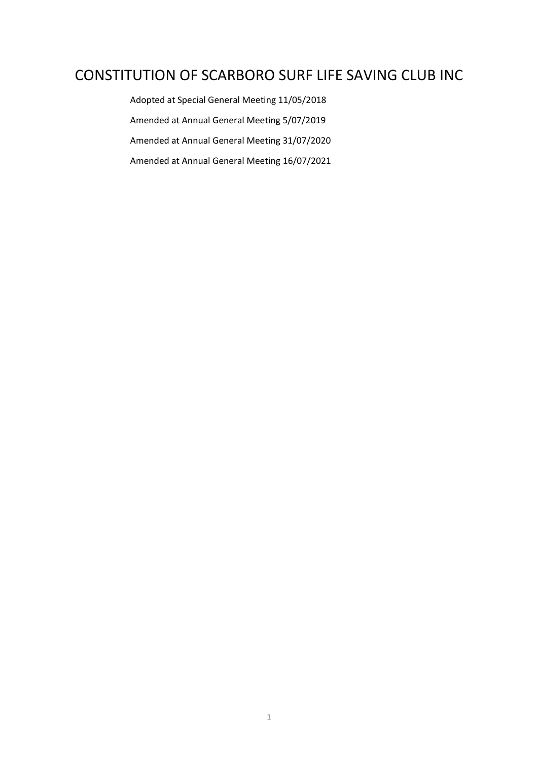# CONSTITUTION OF SCARBORO SURF LIFE SAVING CLUB INC

Adopted at Special General Meeting 11/05/2018 Amended at Annual General Meeting 5/07/2019 Amended at Annual General Meeting 31/07/2020 Amended at Annual General Meeting 16/07/2021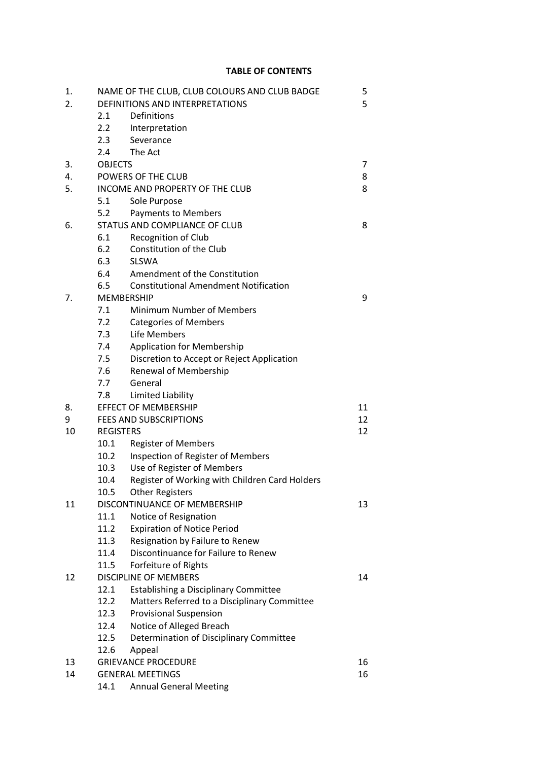# **TABLE OF CONTENTS**

| 1. |                                 | NAME OF THE CLUB, CLUB COLOURS AND CLUB BADGE  | 5  |  |
|----|---------------------------------|------------------------------------------------|----|--|
| 2. |                                 | DEFINITIONS AND INTERPRETATIONS                | 5  |  |
|    | 2.1                             | Definitions                                    |    |  |
|    | 2.2                             | Interpretation                                 |    |  |
|    | 2.3                             | Severance                                      |    |  |
|    | 2.4                             | The Act                                        |    |  |
| 3. | <b>OBJECTS</b>                  | 7                                              |    |  |
| 4. |                                 | POWERS OF THE CLUB                             |    |  |
| 5. | INCOME AND PROPERTY OF THE CLUB | 8                                              |    |  |
|    | 5.1                             | Sole Purpose                                   |    |  |
|    | 5.2                             | <b>Payments to Members</b>                     |    |  |
| 6. | STATUS AND COMPLIANCE OF CLUB   | 8                                              |    |  |
|    | 6.1                             | Recognition of Club                            |    |  |
|    | 6.2                             | Constitution of the Club                       |    |  |
|    | 6.3                             | <b>SLSWA</b>                                   |    |  |
|    | 6.4                             | Amendment of the Constitution                  |    |  |
|    | 6.5                             | <b>Constitutional Amendment Notification</b>   |    |  |
| 7. | <b>MEMBERSHIP</b>               | 9                                              |    |  |
|    | 7.1                             | <b>Minimum Number of Members</b>               |    |  |
|    | 7.2                             | <b>Categories of Members</b>                   |    |  |
|    | 7.3                             | Life Members                                   |    |  |
|    | 7.4                             | <b>Application for Membership</b>              |    |  |
|    | 7.5                             | Discretion to Accept or Reject Application     |    |  |
|    | 7.6                             | Renewal of Membership                          |    |  |
|    | 7.7                             | General                                        |    |  |
|    | 7.8                             | Limited Liability                              |    |  |
| 8. |                                 | <b>EFFECT OF MEMBERSHIP</b>                    | 11 |  |
| 9  |                                 | <b>FEES AND SUBSCRIPTIONS</b>                  | 12 |  |
| 10 | <b>REGISTERS</b>                |                                                | 12 |  |
|    | 10.1                            | <b>Register of Members</b>                     |    |  |
|    | 10.2                            | Inspection of Register of Members              |    |  |
|    | 10.3                            | Use of Register of Members                     |    |  |
|    | 10.4                            | Register of Working with Children Card Holders |    |  |
|    | 10.5                            | <b>Other Registers</b>                         |    |  |
| 11 | DISCONTINUANCE OF MEMBERSHIP    | 13                                             |    |  |
|    | 11.1                            | Notice of Resignation                          |    |  |
|    | 11.2                            | <b>Expiration of Notice Period</b>             |    |  |
|    | 11.3                            | Resignation by Failure to Renew                |    |  |
|    | 11.4                            | Discontinuance for Failure to Renew            |    |  |
|    | 11.5                            | Forfeiture of Rights                           |    |  |
| 12 | <b>DISCIPLINE OF MEMBERS</b>    | 14                                             |    |  |
|    | 12.1                            | Establishing a Disciplinary Committee          |    |  |
|    | 12.2                            | Matters Referred to a Disciplinary Committee   |    |  |
|    | 12.3                            | <b>Provisional Suspension</b>                  |    |  |
|    | 12.4                            | Notice of Alleged Breach                       |    |  |
|    | 12.5                            | Determination of Disciplinary Committee        |    |  |
|    | 12.6                            | Appeal                                         |    |  |
| 13 | <b>GRIEVANCE PROCEDURE</b>      | 16                                             |    |  |
| 14 | <b>GENERAL MEETINGS</b>         | 16                                             |    |  |
|    | 14.1                            | <b>Annual General Meeting</b>                  |    |  |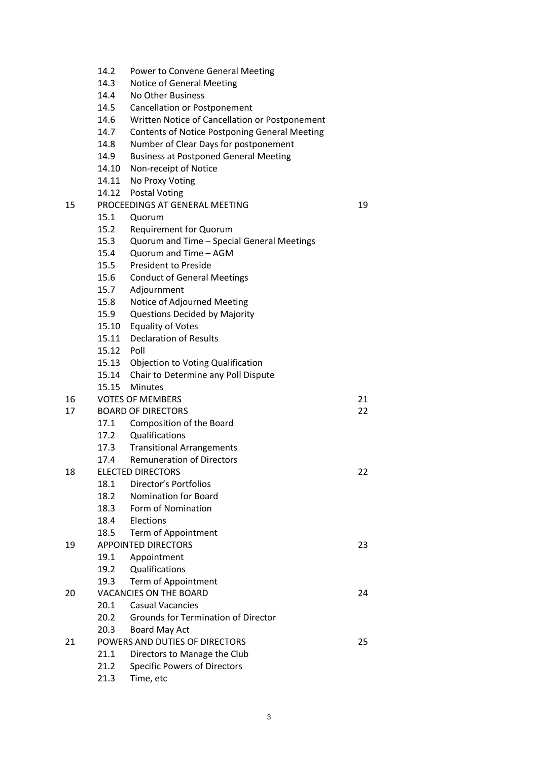- 14.2 Power to Convene General Meeting
- 14.3 Notice of General Meeting
- 14.4 No Other Business
- 14.5 Cancellation or Postponement
- 14.6 Written Notice of Cancellation or Postponement
- 14.7 Contents of Notice Postponing General Meeting
- 14.8 Number of Clear Days for postponement
- 14.9 Business at Postponed General Meeting
- 14.10 Non-receipt of Notice
- 14.11 No Proxy Voting
- 14.12 Postal Voting
- 15 PROCEEDINGS AT GENERAL MEETING 19
	- 15.1 Quorum
	- 15.2 Requirement for Quorum
	- 15.3 Quorum and Time Special General Meetings
	- 15.4 Quorum and Time AGM
	- 15.5 President to Preside
	- 15.6 Conduct of General Meetings
	- 15.7 Adjournment
	- 15.8 Notice of Adjourned Meeting
	- 15.9 Questions Decided by Majority
	- 15.10 Equality of Votes
	- 15.11 Declaration of Results
	- 15.12 Poll
	- 15.13 Objection to Voting Qualification
	- 15.14 Chair to Determine any Poll Dispute
	- 15.15 Minutes

# 16 VOTES OF MEMBERS 21

- 17 BOARD OF DIRECTORS 22
	- 17.1 Composition of the Board
		- 17.2 Qualifications
		- 17.3 Transitional Arrangements 17.4 Remuneration of Directors

# 18 ELECTED DIRECTORS 22

- - 18.1 Director's Portfolios
	- 18.2 Nomination for Board
	- 18.3 Form of Nomination
	- 18.4 Elections
	- 18.5 Term of Appointment
- 19 APPOINTED DIRECTORS 23 19.1 Appointment
	- 19.2 Qualifications
	- 19.3 Term of Appointment
- 20 VACANCIES ON THE BOARD 24
	- 20.1 Casual Vacancies
	- 20.2 Grounds for Termination of Director
	- 20.3 Board May Act

# 21 POWERS AND DUTIES OF DIRECTORS 25

- 21.1 Directors to Manage the Club
- 21.2 Specific Powers of Directors
- 21.3 Time, etc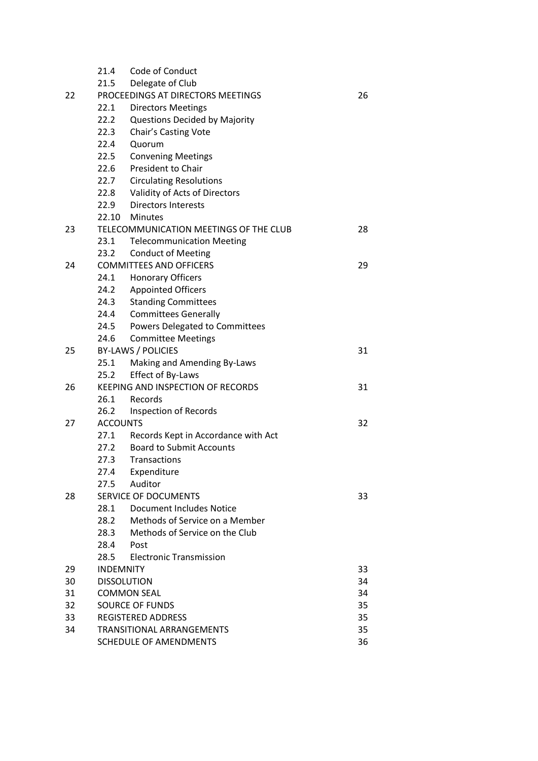|    | 21.4                                     | Code of Conduct                     |    |    |
|----|------------------------------------------|-------------------------------------|----|----|
|    | 21.5                                     | Delegate of Club                    |    |    |
| 22 | PROCEEDINGS AT DIRECTORS MEETINGS        |                                     | 26 |    |
|    | 22.1                                     | <b>Directors Meetings</b>           |    |    |
|    | 22.2                                     | Questions Decided by Majority       |    |    |
|    | 22.3                                     | Chair's Casting Vote                |    |    |
|    | 22.4                                     | Quorum                              |    |    |
|    | 22.5                                     | <b>Convening Meetings</b>           |    |    |
|    | 22.6                                     | President to Chair                  |    |    |
|    | 22.7                                     | <b>Circulating Resolutions</b>      |    |    |
|    | 22.8                                     | Validity of Acts of Directors       |    |    |
|    | 22.9                                     | <b>Directors Interests</b>          |    |    |
|    |                                          | 22.10 Minutes                       |    |    |
| 23 | TELECOMMUNICATION MEETINGS OF THE CLUB   |                                     |    | 28 |
|    | 23.1                                     | <b>Telecommunication Meeting</b>    |    |    |
|    | 23.2                                     | <b>Conduct of Meeting</b>           |    |    |
| 24 | <b>COMMITTEES AND OFFICERS</b>           |                                     | 29 |    |
|    | 24.1                                     | <b>Honorary Officers</b>            |    |    |
|    | 24.2                                     | <b>Appointed Officers</b>           |    |    |
|    | 24.3                                     | <b>Standing Committees</b>          |    |    |
|    | 24.4                                     | <b>Committees Generally</b>         |    |    |
|    | 24.5                                     | Powers Delegated to Committees      |    |    |
|    | 24.6                                     | <b>Committee Meetings</b>           |    |    |
| 25 | <b>BY-LAWS / POLICIES</b>                |                                     |    | 31 |
|    | 25.1                                     | Making and Amending By-Laws         |    |    |
|    | 25.2                                     | Effect of By-Laws                   |    |    |
| 26 | <b>KEEPING AND INSPECTION OF RECORDS</b> |                                     |    | 31 |
|    | 26.1                                     | Records                             |    |    |
|    | 26.2                                     | <b>Inspection of Records</b>        |    |    |
| 27 | <b>ACCOUNTS</b>                          |                                     |    | 32 |
|    | 27.1                                     | Records Kept in Accordance with Act |    |    |
|    | 27.2                                     | <b>Board to Submit Accounts</b>     |    |    |
|    | 27.3                                     | Transactions                        |    |    |
|    | 27.4                                     | Expenditure                         |    |    |
|    | 27.5                                     | Auditor                             |    |    |
| 28 | <b>SERVICE OF DOCUMENTS</b>              |                                     |    |    |
|    | 28.1                                     | <b>Document Includes Notice</b>     |    |    |
|    | 28.2                                     | Methods of Service on a Member      |    |    |
|    | 28.3                                     | Methods of Service on the Club      |    |    |
|    | 28.4                                     | Post                                |    |    |
|    | 28.5                                     | <b>Electronic Transmission</b>      |    |    |
| 29 | <b>INDEMNITY</b>                         |                                     |    | 33 |
| 30 | <b>DISSOLUTION</b>                       |                                     |    | 34 |
| 31 | <b>COMMON SEAL</b>                       |                                     |    | 34 |
| 32 | <b>SOURCE OF FUNDS</b>                   |                                     |    | 35 |
| 33 | <b>REGISTERED ADDRESS</b>                |                                     |    | 35 |
| 34 | TRANSITIONAL ARRANGEMENTS                |                                     |    | 35 |
|    | SCHEDULE OF AMENDMENTS                   |                                     |    | 36 |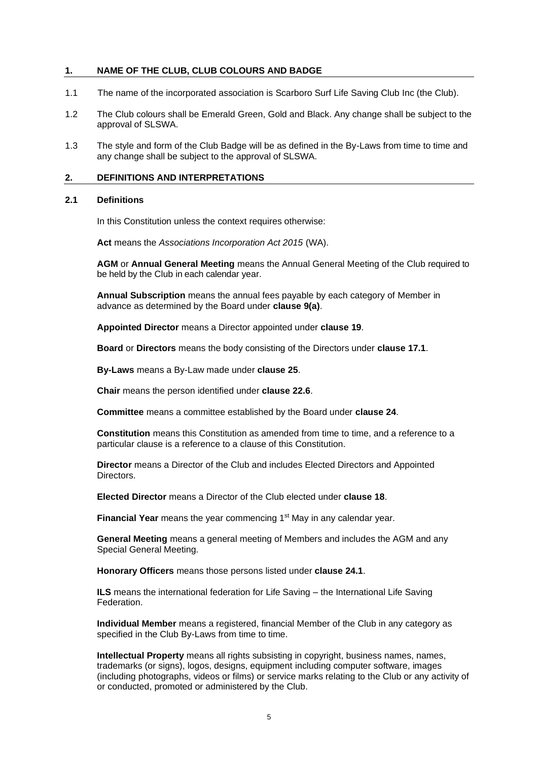#### **1. NAME OF THE CLUB, CLUB COLOURS AND BADGE**

- 1.1 The name of the incorporated association is Scarboro Surf Life Saving Club Inc (the Club).
- 1.2 The Club colours shall be Emerald Green, Gold and Black. Any change shall be subject to the approval of SLSWA.
- 1.3 The style and form of the Club Badge will be as defined in the By-Laws from time to time and any change shall be subject to the approval of SLSWA.

#### **2. DEFINITIONS AND INTERPRETATIONS**

#### **2.1 Definitions**

In this Constitution unless the context requires otherwise:

**Act** means the *Associations Incorporation Act 2015* (WA).

**AGM** or **Annual General Meeting** means the Annual General Meeting of the Club required to be held by the Club in each calendar year.

**Annual Subscription** means the annual fees payable by each category of Member in advance as determined by the Board under **clause [9\(a\)](#page-11-0)**.

**Appointed Director** means a Director appointed under **claus[e 19](#page-22-0)**.

**Board** or **Directors** means the body consisting of the Directors under **clause [17.1](#page-21-0)**.

**By-Laws** means a By-Law made under **clause [25](#page-30-0)**.

**Chair** means the person identified under **claus[e 22.6](#page-26-0)**.

**Committee** means a committee established by the Board under **clause [24](#page-28-0)**.

**Constitution** means this Constitution as amended from time to time, and a reference to a particular clause is a reference to a clause of this Constitution.

**Director** means a Director of the Club and includes Elected Directors and Appointed **Directors** 

**Elected Director** means a Director of the Club elected under **clause [18](#page-21-1)**.

Financial Year means the year commencing 1<sup>st</sup> May in any calendar year.

**General Meeting** means a general meeting of Members and includes the AGM and any Special General Meeting.

**Honorary Officers** means those persons listed under **clause 24.1**.

**ILS** means the international federation for Life Saving – the International Life Saving Federation.

**Individual Member** means a registered, financial Member of the Club in any category as specified in the Club By-Laws from time to time.

**Intellectual Property** means all rights subsisting in copyright, business names, names, trademarks (or signs), logos, designs, equipment including computer software, images (including photographs, videos or films) or service marks relating to the Club or any activity of or conducted, promoted or administered by the Club.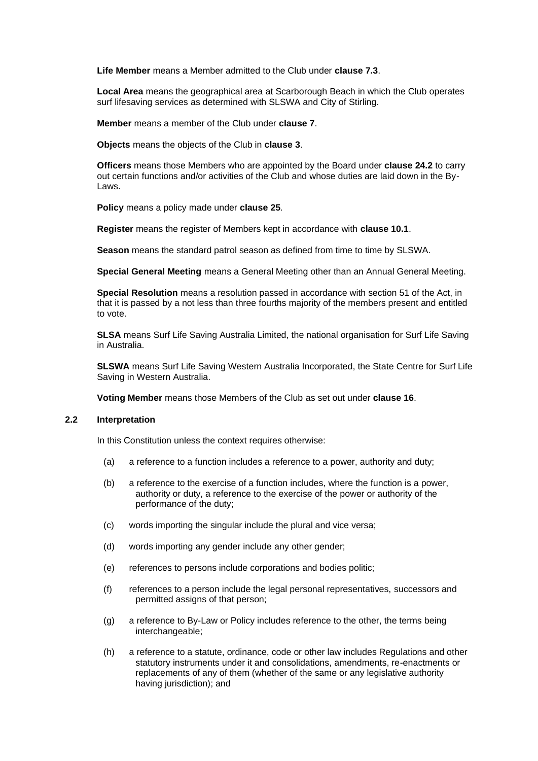**Life Member** means a Member admitted to the Club under **clause [7.3](#page-8-0)**.

**Local Area** means the geographical area at Scarborough Beach in which the Club operates surf lifesaving services as determined with SLSWA and City of Stirling.

**Member** means a member of the Club under **claus[e 7](#page-8-1)**.

**Objects** means the objects of the Club in **clause 3**.

**Officers** means those Members who are appointed by the Board under **clause 24.2** to carry out certain functions and/or activities of the Club and whose duties are laid down in the By-Laws.

**Policy** means a policy made under **clause [25](#page-30-0)**.

**Register** means the register of Members kept in accordance with **claus[e 10.1](#page-11-1)**.

**Season** means the standard patrol season as defined from time to time by SLSWA.

**Special General Meeting** means a General Meeting other than an Annual General Meeting.

**Special Resolution** means a resolution passed in accordance with section 51 of the Act, in that it is passed by a not less than three fourths majority of the members present and entitled to vote.

**SLSA** means Surf Life Saving Australia Limited, the national organisation for Surf Life Saving in Australia.

**SLSWA** means Surf Life Saving Western Australia Incorporated, the State Centre for Surf Life Saving in Western Australia.

**Voting Member** means those Members of the Club as set out under **clause 16**.

# **2.2 Interpretation**

In this Constitution unless the context requires otherwise:

- (a) a reference to a function includes a reference to a power, authority and duty;
- (b) a reference to the exercise of a function includes, where the function is a power, authority or duty, a reference to the exercise of the power or authority of the performance of the duty;
- (c) words importing the singular include the plural and vice versa;
- (d) words importing any gender include any other gender;
- (e) references to persons include corporations and bodies politic;
- (f) references to a person include the legal personal representatives, successors and permitted assigns of that person;
- (g) a reference to By-Law or Policy includes reference to the other, the terms being interchangeable;
- (h) a reference to a statute, ordinance, code or other law includes Regulations and other statutory instruments under it and consolidations, amendments, re-enactments or replacements of any of them (whether of the same or any legislative authority having jurisdiction); and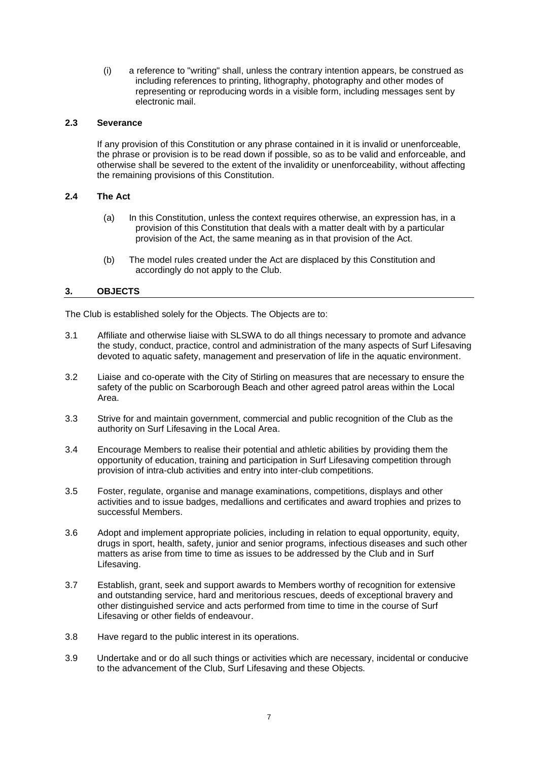(i) a reference to "writing" shall, unless the contrary intention appears, be construed as including references to printing, lithography, photography and other modes of representing or reproducing words in a visible form, including messages sent by electronic mail.

## **2.3 Severance**

If any provision of this Constitution or any phrase contained in it is invalid or unenforceable, the phrase or provision is to be read down if possible, so as to be valid and enforceable, and otherwise shall be severed to the extent of the invalidity or unenforceability, without affecting the remaining provisions of this Constitution.

# **2.4 The Act**

- (a) In this Constitution, unless the context requires otherwise, an expression has, in a provision of this Constitution that deals with a matter dealt with by a particular provision of the Act, the same meaning as in that provision of the Act.
- (b) The model rules created under the Act are displaced by this Constitution and accordingly do not apply to the Club.

# **3. OBJECTS**

The Club is established solely for the Objects. The Objects are to:

- 3.1 Affiliate and otherwise liaise with SLSWA to do all things necessary to promote and advance the study, conduct, practice, control and administration of the many aspects of Surf Lifesaving devoted to aquatic safety, management and preservation of life in the aquatic environment.
- 3.2 Liaise and co-operate with the City of Stirling on measures that are necessary to ensure the safety of the public on Scarborough Beach and other agreed patrol areas within the Local Area.
- 3.3 Strive for and maintain government, commercial and public recognition of the Club as the authority on Surf Lifesaving in the Local Area.
- 3.4 Encourage Members to realise their potential and athletic abilities by providing them the opportunity of education, training and participation in Surf Lifesaving competition through provision of intra-club activities and entry into inter-club competitions.
- 3.5 Foster, regulate, organise and manage examinations, competitions, displays and other activities and to issue badges, medallions and certificates and award trophies and prizes to successful Members.
- 3.6 Adopt and implement appropriate policies, including in relation to equal opportunity, equity, drugs in sport, health, safety, junior and senior programs, infectious diseases and such other matters as arise from time to time as issues to be addressed by the Club and in Surf Lifesaving.
- 3.7 Establish, grant, seek and support awards to Members worthy of recognition for extensive and outstanding service, hard and meritorious rescues, deeds of exceptional bravery and other distinguished service and acts performed from time to time in the course of Surf Lifesaving or other fields of endeavour.
- 3.8 Have regard to the public interest in its operations.
- 3.9 Undertake and or do all such things or activities which are necessary, incidental or conducive to the advancement of the Club, Surf Lifesaving and these Objects.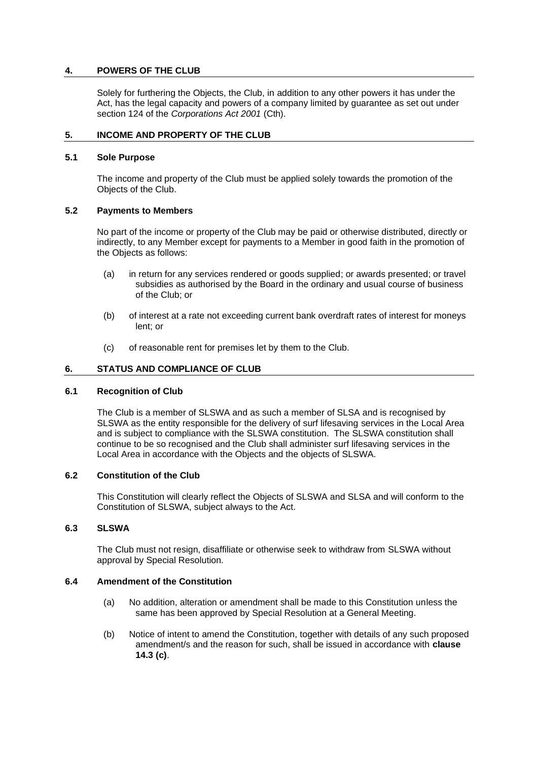# **4. POWERS OF THE CLUB**

Solely for furthering the Objects, the Club, in addition to any other powers it has under the Act, has the legal capacity and powers of a company limited by guarantee as set out under section 124 of the *Corporations Act 2001* (Cth).

#### **5. INCOME AND PROPERTY OF THE CLUB**

#### **5.1 Sole Purpose**

The income and property of the Club must be applied solely towards the promotion of the Objects of the Club.

#### **5.2 Payments to Members**

No part of the income or property of the Club may be paid or otherwise distributed, directly or indirectly, to any Member except for payments to a Member in good faith in the promotion of the Objects as follows:

- (a) in return for any services rendered or goods supplied; or awards presented; or travel subsidies as authorised by the Board in the ordinary and usual course of business of the Club; or
- (b) of interest at a rate not exceeding current bank overdraft rates of interest for moneys lent; or
- (c) of reasonable rent for premises let by them to the Club.

#### **6. STATUS AND COMPLIANCE OF CLUB**

#### **6.1 Recognition of Club**

The Club is a member of SLSWA and as such a member of SLSA and is recognised by SLSWA as the entity responsible for the delivery of surf lifesaving services in the Local Area and is subject to compliance with the SLSWA constitution. The SLSWA constitution shall continue to be so recognised and the Club shall administer surf lifesaving services in the Local Area in accordance with the Objects and the objects of SLSWA.

#### **6.2 Constitution of the Club**

This Constitution will clearly reflect the Objects of SLSWA and SLSA and will conform to the Constitution of SLSWA, subject always to the Act.

# **6.3 SLSWA**

The Club must not resign, disaffiliate or otherwise seek to withdraw from SLSWA without approval by Special Resolution.

## **6.4 Amendment of the Constitution**

- (a) No addition, alteration or amendment shall be made to this Constitution unless the same has been approved by Special Resolution at a General Meeting.
- (b) Notice of intent to amend the Constitution, together with details of any such proposed amendment/s and the reason for such, shall be issued in accordance with **clause 14.3 (c)**.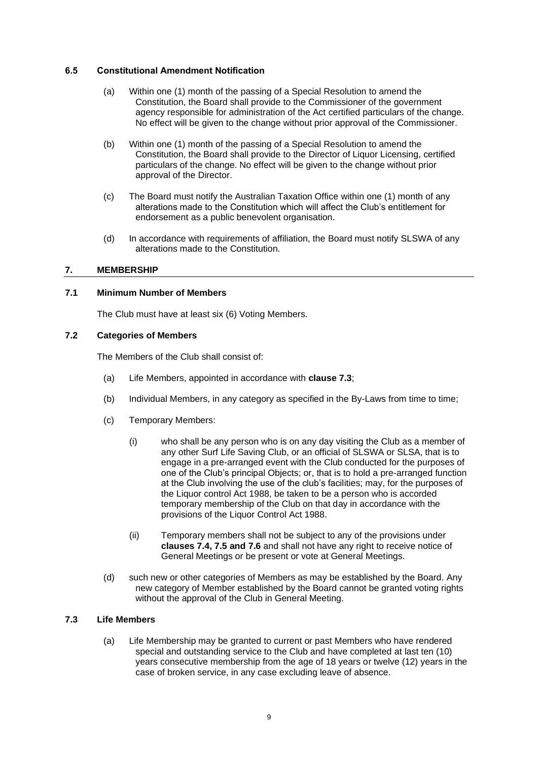## **6.5 Constitutional Amendment Notification**

- (a) Within one (1) month of the passing of a Special Resolution to amend the Constitution, the Board shall provide to the Commissioner of the government agency responsible for administration of the Act certified particulars of the change. No effect will be given to the change without prior approval of the Commissioner.
- (b) Within one (1) month of the passing of a Special Resolution to amend the Constitution, the Board shall provide to the Director of Liquor Licensing, certified particulars of the change. No effect will be given to the change without prior approval of the Director.
- (c) The Board must notify the Australian Taxation Office within one (1) month of any alterations made to the Constitution which will affect the Club's entitlement for endorsement as a public benevolent organisation.
- (d) In accordance with requirements of affiliation, the Board must notify SLSWA of any alterations made to the Constitution.

# <span id="page-8-1"></span>**7. MEMBERSHIP**

## **7.1 Minimum Number of Members**

The Club must have at least six (6) Voting Members.

## **7.2 Categories of Members**

The Members of the Club shall consist of:

- (a) Life Members, appointed in accordance with **clause 7.3**;
- (b) Individual Members, in any category as specified in the By-Laws from time to time;
- (c) Temporary Members:
	- (i) who shall be any person who is on any day visiting the Club as a member of any other Surf Life Saving Club, or an official of SLSWA or SLSA, that is to engage in a pre-arranged event with the Club conducted for the purposes of one of the Club's principal Objects; or, that is to hold a pre-arranged function at the Club involving the use of the club's facilities; may, for the purposes of the Liquor control Act 1988, be taken to be a person who is accorded temporary membership of the Club on that day in accordance with the provisions of the Liquor Control Act 1988.
	- (ii) Temporary members shall not be subject to any of the provisions under **clauses 7.4, 7.5 and 7.6** and shall not have any right to receive notice of General Meetings or be present or vote at General Meetings.
- (d) such new or other categories of Members as may be established by the Board. Any new category of Member established by the Board cannot be granted voting rights without the approval of the Club in General Meeting.

# <span id="page-8-0"></span>**7.3 Life Members**

(a) Life Membership may be granted to current or past Members who have rendered special and outstanding service to the Club and have completed at last ten (10) years consecutive membership from the age of 18 years or twelve (12) years in the case of broken service, in any case excluding leave of absence.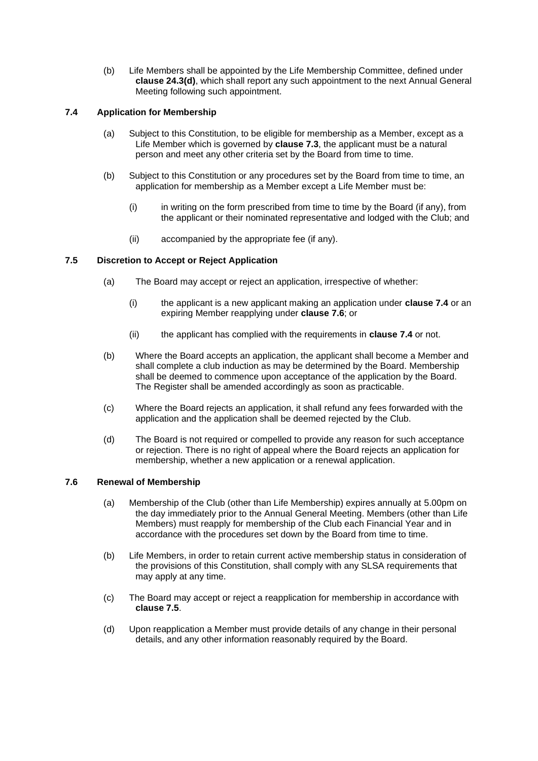(b) Life Members shall be appointed by the Life Membership Committee, defined under **clause 24.3(d)**, which shall report any such appointment to the next Annual General Meeting following such appointment.

# <span id="page-9-0"></span>**7.4 Application for Membership**

- (a) Subject to this Constitution, to be eligible for membership as a Member, except as a Life Member which is governed by **clause [7.3](#page-8-0)**, the applicant must be a natural person and meet any other criteria set by the Board from time to time.
- (b) Subject to this Constitution or any procedures set by the Board from time to time, an application for membership as a Member except a Life Member must be:
	- (i) in writing on the form prescribed from time to time by the Board (if any), from the applicant or their nominated representative and lodged with the Club; and
	- (ii) accompanied by the appropriate fee (if any).

# <span id="page-9-2"></span>**7.5 Discretion to Accept or Reject Application**

- (a) The Board may accept or reject an application, irrespective of whether:
	- (i) the applicant is a new applicant making an application under **clause [7.4](#page-9-0)** or an expiring Member reapplying under **claus[e 7.6](#page-9-1)**; or
	- (ii) the applicant has complied with the requirements in **clause [7.4](#page-9-0)** or not.
- (b) Where the Board accepts an application, the applicant shall become a Member and shall complete a club induction as may be determined by the Board. Membership shall be deemed to commence upon acceptance of the application by the Board. The Register shall be amended accordingly as soon as practicable.
- (c) Where the Board rejects an application, it shall refund any fees forwarded with the application and the application shall be deemed rejected by the Club.
- (d) The Board is not required or compelled to provide any reason for such acceptance or rejection. There is no right of appeal where the Board rejects an application for membership, whether a new application or a renewal application.

# <span id="page-9-1"></span>**7.6 Renewal of Membership**

- (a) Membership of the Club (other than Life Membership) expires annually at 5.00pm on the day immediately prior to the Annual General Meeting. Members (other than Life Members) must reapply for membership of the Club each Financial Year and in accordance with the procedures set down by the Board from time to time.
- (b) Life Members, in order to retain current active membership status in consideration of the provisions of this Constitution, shall comply with any SLSA requirements that may apply at any time.
- (c) The Board may accept or reject a reapplication for membership in accordance with **clause [7.5](#page-9-2)**.
- (d) Upon reapplication a Member must provide details of any change in their personal details, and any other information reasonably required by the Board.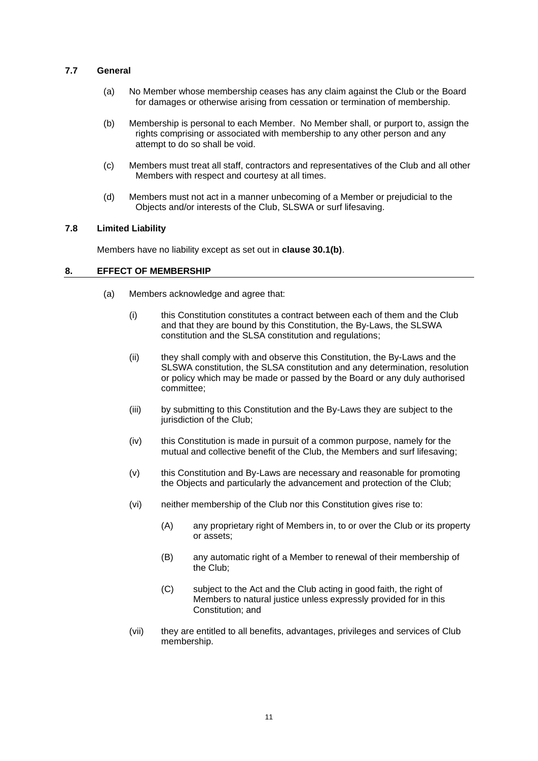## **7.7 General**

- (a) No Member whose membership ceases has any claim against the Club or the Board for damages or otherwise arising from cessation or termination of membership.
- (b) Membership is personal to each Member. No Member shall, or purport to, assign the rights comprising or associated with membership to any other person and any attempt to do so shall be void.
- (c) Members must treat all staff, contractors and representatives of the Club and all other Members with respect and courtesy at all times.
- (d) Members must not act in a manner unbecoming of a Member or prejudicial to the Objects and/or interests of the Club, SLSWA or surf lifesaving.

#### **7.8 Limited Liability**

Members have no liability except as set out in **clause 30.1(b)**.

## **8. EFFECT OF MEMBERSHIP**

- (a) Members acknowledge and agree that:
	- (i) this Constitution constitutes a contract between each of them and the Club and that they are bound by this Constitution, the By-Laws, the SLSWA constitution and the SLSA constitution and regulations;
	- (ii) they shall comply with and observe this Constitution, the By-Laws and the SLSWA constitution, the SLSA constitution and any determination, resolution or policy which may be made or passed by the Board or any duly authorised committee;
	- (iii) by submitting to this Constitution and the By-Laws they are subject to the jurisdiction of the Club;
	- (iv) this Constitution is made in pursuit of a common purpose, namely for the mutual and collective benefit of the Club, the Members and surf lifesaving;
	- (v) this Constitution and By-Laws are necessary and reasonable for promoting the Objects and particularly the advancement and protection of the Club;
	- (vi) neither membership of the Club nor this Constitution gives rise to:
		- (A) any proprietary right of Members in, to or over the Club or its property or assets;
		- (B) any automatic right of a Member to renewal of their membership of the Club;
		- (C) subject to the Act and the Club acting in good faith, the right of Members to natural justice unless expressly provided for in this Constitution; and
	- (vii) they are entitled to all benefits, advantages, privileges and services of Club membership.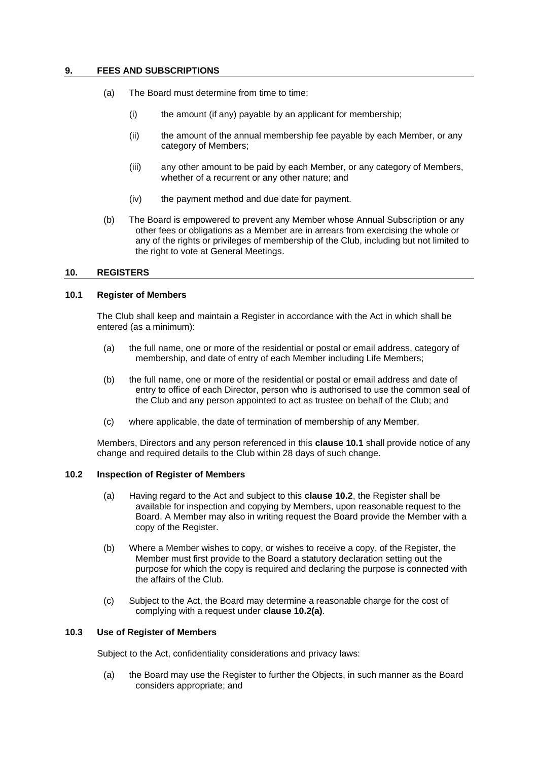## <span id="page-11-0"></span>**9. FEES AND SUBSCRIPTIONS**

- (a) The Board must determine from time to time:
	- (i) the amount (if any) payable by an applicant for membership;
	- (ii) the amount of the annual membership fee payable by each Member, or any category of Members;
	- (iii) any other amount to be paid by each Member, or any category of Members, whether of a recurrent or any other nature; and
	- (iv) the payment method and due date for payment.
- <span id="page-11-4"></span>(b) The Board is empowered to prevent any Member whose Annual Subscription or any other fees or obligations as a Member are in arrears from exercising the whole or any of the rights or privileges of membership of the Club, including but not limited to the right to vote at General Meetings.

## **10. REGISTERS**

# <span id="page-11-1"></span>**10.1 Register of Members**

The Club shall keep and maintain a Register in accordance with the Act in which shall be entered (as a minimum):

- (a) the full name, one or more of the residential or postal or email address, category of membership, and date of entry of each Member including Life Members;
- (b) the full name, one or more of the residential or postal or email address and date of entry to office of each Director, person who is authorised to use the common seal of the Club and any person appointed to act as trustee on behalf of the Club; and
- (c) where applicable, the date of termination of membership of any Member.

Members, Directors and any person referenced in this **claus[e 10.1](#page-11-1)** shall provide notice of any change and required details to the Club within 28 days of such change.

#### <span id="page-11-3"></span><span id="page-11-2"></span>**10.2 Inspection of Register of Members**

- (a) Having regard to the Act and subject to this **clause [10.2](#page-11-2)**, the Register shall be available for inspection and copying by Members, upon reasonable request to the Board. A Member may also in writing request the Board provide the Member with a copy of the Register.
- (b) Where a Member wishes to copy, or wishes to receive a copy, of the Register, the Member must first provide to the Board a statutory declaration setting out the purpose for which the copy is required and declaring the purpose is connected with the affairs of the Club.
- (c) Subject to the Act, the Board may determine a reasonable charge for the cost of complying with a request under **clause [10.2\(a\)](#page-11-3)**.

#### **10.3 Use of Register of Members**

Subject to the Act, confidentiality considerations and privacy laws:

(a) the Board may use the Register to further the Objects, in such manner as the Board considers appropriate; and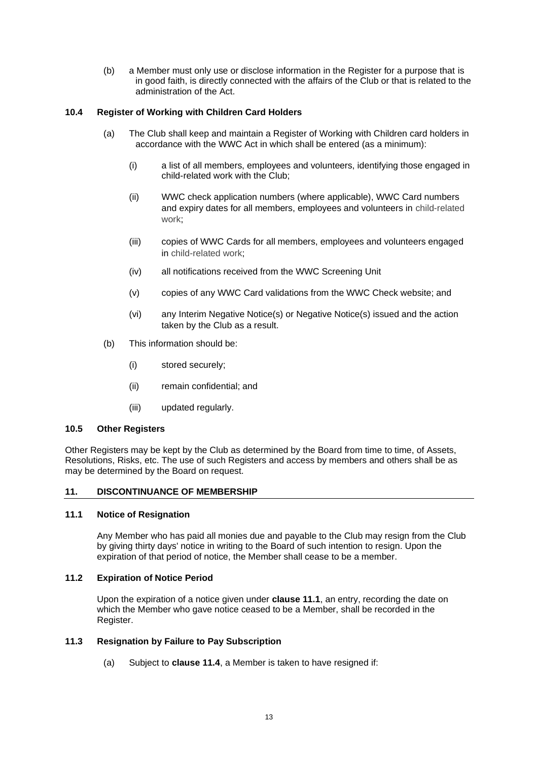(b) a Member must only use or disclose information in the Register for a purpose that is in good faith, is directly connected with the affairs of the Club or that is related to the administration of the Act.

# **10.4 Register of Working with Children Card Holders**

- (a) The Club shall keep and maintain a Register of Working with Children card holders in accordance with the WWC Act in which shall be entered (as a minimum):
	- (i) a list of all members, employees and volunteers, identifying those engaged in child-related work with the Club;
	- (ii) WWC check application numbers (where applicable), WWC Card numbers and expiry dates for all members, employees and volunteers in [child-related](https://workingwithchildren.wa.gov.au/resources/publications/glossary/#childrelatedwork)  [work;](https://workingwithchildren.wa.gov.au/resources/publications/glossary/#childrelatedwork)
	- (iii) copies of WWC Cards for all members, employees and volunteers engaged in [child-related work;](https://workingwithchildren.wa.gov.au/resources/publications/glossary/#childrelatedwork)
	- (iv) all notifications received from the WWC Screening Unit
	- (v) copies of any WWC Card validations from the WWC Check website; and
	- (vi) any Interim Negative Notice(s) or Negative Notice(s) issued and the action taken by the Club as a result.
- (b) This information should be:
	- (i) stored securely;
	- (ii) remain confidential; and
	- (iii) updated regularly.

# **10.5 Other Registers**

Other Registers may be kept by the Club as determined by the Board from time to time, of Assets, Resolutions, Risks, etc. The use of such Registers and access by members and others shall be as may be determined by the Board on request.

# **11. DISCONTINUANCE OF MEMBERSHIP**

# <span id="page-12-0"></span>**11.1 Notice of Resignation**

Any Member who has paid all monies due and payable to the Club may resign from the Club by giving thirty days' notice in writing to the Board of such intention to resign. Upon the expiration of that period of notice, the Member shall cease to be a member.

# **11.2 Expiration of Notice Period**

Upon the expiration of a notice given under **clause [11.1](#page-12-0)**, an entry, recording the date on which the Member who gave notice ceased to be a Member, shall be recorded in the Register.

# **11.3 Resignation by Failure to Pay Subscription**

(a) Subject to **clause [11.4](#page-13-0)**, a Member is taken to have resigned if: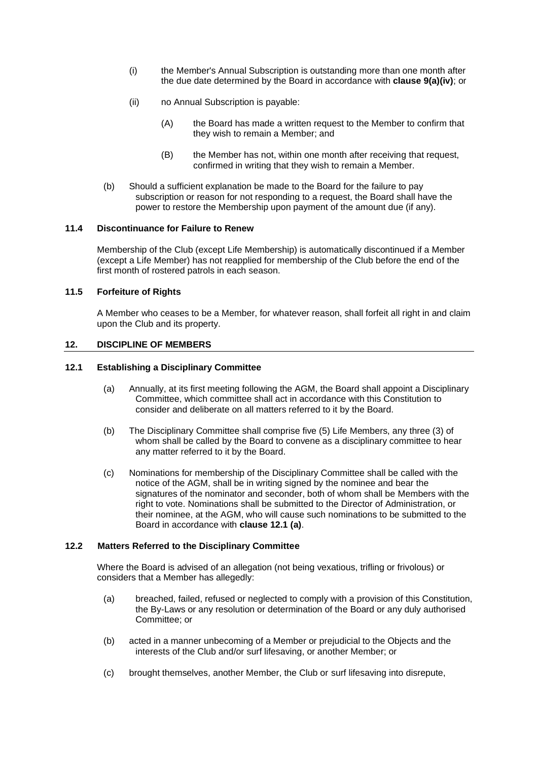- (i) the Member's Annual Subscription is outstanding more than one month after the due date determined by the Board in accordance with **claus[e 9\(a\)\(iv\)](#page-11-4)**; or
- (ii) no Annual Subscription is payable:
	- (A) the Board has made a written request to the Member to confirm that they wish to remain a Member; and
	- (B) the Member has not, within one month after receiving that request, confirmed in writing that they wish to remain a Member.
- (b) Should a sufficient explanation be made to the Board for the failure to pay subscription or reason for not responding to a request, the Board shall have the power to restore the Membership upon payment of the amount due (if any).

#### <span id="page-13-0"></span>**11.4 Discontinuance for Failure to Renew**

Membership of the Club (except Life Membership) is automatically discontinued if a Member (except a Life Member) has not reapplied for membership of the Club before the end of the first month of rostered patrols in each season.

# **11.5 Forfeiture of Rights**

A Member who ceases to be a Member, for whatever reason, shall forfeit all right in and claim upon the Club and its property.

# **12. DISCIPLINE OF MEMBERS**

#### <span id="page-13-1"></span>**12.1 Establishing a Disciplinary Committee**

- (a) Annually, at its first meeting following the AGM, the Board shall appoint a Disciplinary Committee, which committee shall act in accordance with this Constitution to consider and deliberate on all matters referred to it by the Board.
- (b) The Disciplinary Committee shall comprise five (5) Life Members, any three (3) of whom shall be called by the Board to convene as a disciplinary committee to hear any matter referred to it by the Board.
- (c) Nominations for membership of the Disciplinary Committee shall be called with the notice of the AGM, shall be in writing signed by the nominee and bear the signatures of the nominator and seconder, both of whom shall be Members with the right to vote. Nominations shall be submitted to the Director of Administration, or their nominee, at the AGM, who will cause such nominations to be submitted to the Board in accordance with **clause 12.1 (a)**.

#### **12.2 Matters Referred to the Disciplinary Committee**

Where the Board is advised of an allegation (not being vexatious, trifling or frivolous) or considers that a Member has allegedly:

- (a) breached, failed, refused or neglected to comply with a provision of this Constitution, the By-Laws or any resolution or determination of the Board or any duly authorised Committee; or
- (b) acted in a manner unbecoming of a Member or prejudicial to the Objects and the interests of the Club and/or surf lifesaving, or another Member; or
- (c) brought themselves, another Member, the Club or surf lifesaving into disrepute,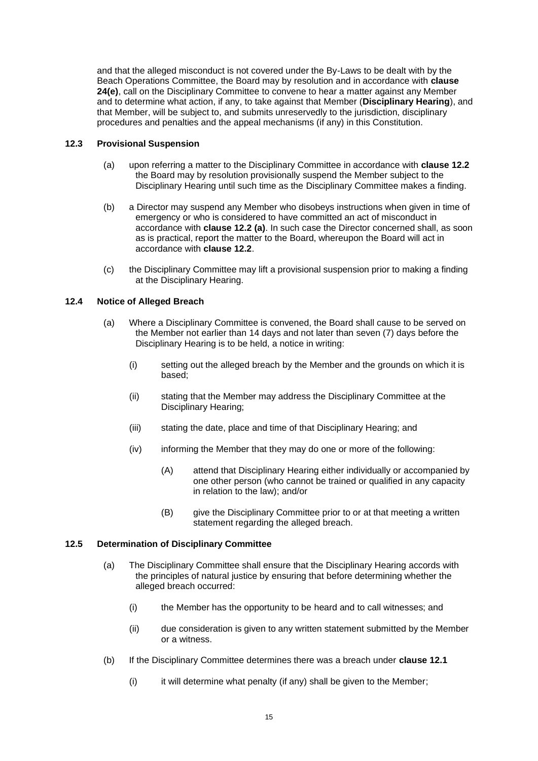and that the alleged misconduct is not covered under the By-Laws to be dealt with by the Beach Operations Committee, the Board may by resolution and in accordance with **clause [24\(](#page-28-0)e)**, call on the Disciplinary Committee to convene to hear a matter against any Member and to determine what action, if any, to take against that Member (**Disciplinary Hearing**), and that Member, will be subject to, and submits unreservedly to the jurisdiction, disciplinary procedures and penalties and the appeal mechanisms (if any) in this Constitution.

# **12.3 Provisional Suspension**

- (a) upon referring a matter to the Disciplinary Committee in accordance with **clause 12.2** the Board may by resolution provisionally suspend the Member subject to the Disciplinary Hearing until such time as the Disciplinary Committee makes a finding.
- (b) a Director may suspend any Member who disobeys instructions when given in time of emergency or who is considered to have committed an act of misconduct in accordance with **clause 12.2 (a)**. In such case the Director concerned shall, as soon as is practical, report the matter to the Board, whereupon the Board will act in accordance with **clause 12.2**.
- (c) the Disciplinary Committee may lift a provisional suspension prior to making a finding at the Disciplinary Hearing.

# **12.4 Notice of Alleged Breach**

- (a) Where a Disciplinary Committee is convened, the Board shall cause to be served on the Member not earlier than 14 days and not later than seven (7) days before the Disciplinary Hearing is to be held, a notice in writing:
	- (i) setting out the alleged breach by the Member and the grounds on which it is based;
	- (ii) stating that the Member may address the Disciplinary Committee at the Disciplinary Hearing;
	- (iii) stating the date, place and time of that Disciplinary Hearing; and
	- (iv) informing the Member that they may do one or more of the following:
		- (A) attend that Disciplinary Hearing either individually or accompanied by one other person (who cannot be trained or qualified in any capacity in relation to the law); and/or
		- (B) give the Disciplinary Committee prior to or at that meeting a written statement regarding the alleged breach.

#### **12.5 Determination of Disciplinary Committee**

- (a) The Disciplinary Committee shall ensure that the Disciplinary Hearing accords with the principles of natural justice by ensuring that before determining whether the alleged breach occurred:
	- (i) the Member has the opportunity to be heard and to call witnesses; and
	- (ii) due consideration is given to any written statement submitted by the Member or a witness.
- (b) If the Disciplinary Committee determines there was a breach under **clause [12.1](#page-13-1)**
	- (i) it will determine what penalty (if any) shall be given to the Member;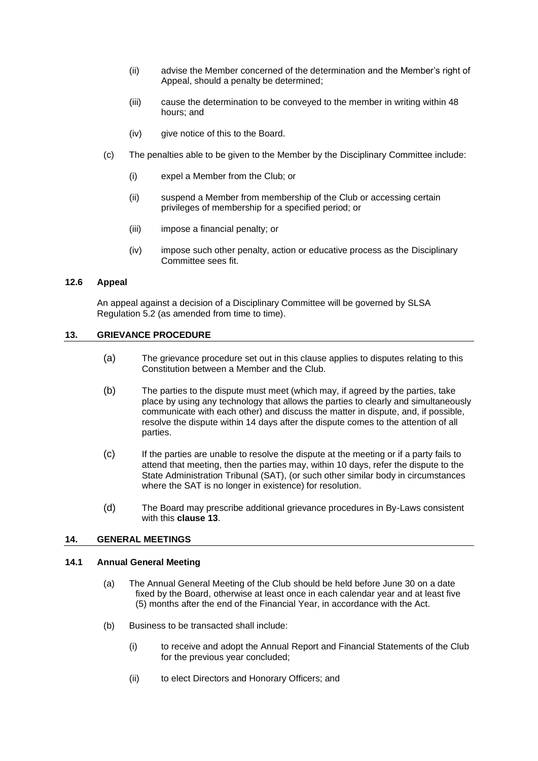- (ii) advise the Member concerned of the determination and the Member's right of Appeal, should a penalty be determined;
- (iii) cause the determination to be conveyed to the member in writing within 48 hours; and
- (iv) give notice of this to the Board.
- (c) The penalties able to be given to the Member by the Disciplinary Committee include:
	- (i) expel a Member from the Club; or
	- (ii) suspend a Member from membership of the Club or accessing certain privileges of membership for a specified period; or
	- (iii) impose a financial penalty; or
	- (iv) impose such other penalty, action or educative process as the Disciplinary Committee sees fit.

# **12.6 Appeal**

An appeal against a decision of a Disciplinary Committee will be governed by SLSA Regulation 5.2 (as amended from time to time).

## <span id="page-15-0"></span>**13. GRIEVANCE PROCEDURE**

- (a) The grievance procedure set out in this clause applies to disputes relating to this Constitution between a Member and the Club.
- (b) The parties to the dispute must meet (which may, if agreed by the parties, take place by using any technology that allows the parties to clearly and simultaneously communicate with each other) and discuss the matter in dispute, and, if possible, resolve the dispute within 14 days after the dispute comes to the attention of all parties.
- (c) If the parties are unable to resolve the dispute at the meeting or if a party fails to attend that meeting, then the parties may, within 10 days, refer the dispute to the State Administration Tribunal (SAT), (or such other similar body in circumstances where the SAT is no longer in existence) for resolution.
- (d) The Board may prescribe additional grievance procedures in By-Laws consistent with this **clause [13](#page-15-0)**.

## **14. GENERAL MEETINGS**

## **14.1 Annual General Meeting**

- (a) The Annual General Meeting of the Club should be held before June 30 on a date fixed by the Board, otherwise at least once in each calendar year and at least five (5) months after the end of the Financial Year, in accordance with the Act.
- (b) Business to be transacted shall include:
	- (i) to receive and adopt the Annual Report and Financial Statements of the Club for the previous year concluded;
	- (ii) to elect Directors and Honorary Officers; and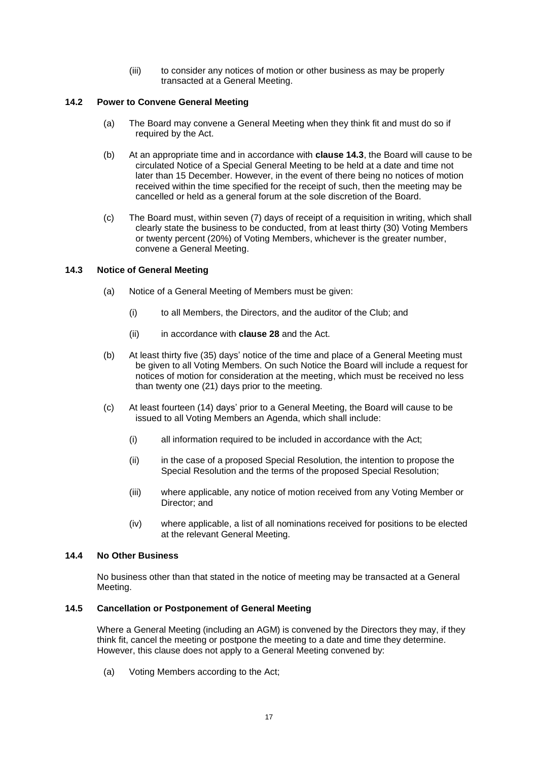(iii) to consider any notices of motion or other business as may be properly transacted at a General Meeting.

# **14.2 Power to Convene General Meeting**

- (a) The Board may convene a General Meeting when they think fit and must do so if required by the Act.
- (b) At an appropriate time and in accordance with **clause 14.3**, the Board will cause to be circulated Notice of a Special General Meeting to be held at a date and time not later than 15 December. However, in the event of there being no notices of motion received within the time specified for the receipt of such, then the meeting may be cancelled or held as a general forum at the sole discretion of the Board.
- (c) The Board must, within seven (7) days of receipt of a requisition in writing, which shall clearly state the business to be conducted, from at least thirty (30) Voting Members or twenty percent (20%) of Voting Members, whichever is the greater number, convene a General Meeting.

# **14.3 Notice of General Meeting**

- (a) Notice of a General Meeting of Members must be given:
	- (i) to all Members, the Directors, and the auditor of the Club; and
	- (ii) in accordance with **clause [28](#page-32-0)** and the Act.
- (b) At least thirty five (35) days' notice of the time and place of a General Meeting must be given to all Voting Members. On such Notice the Board will include a request for notices of motion for consideration at the meeting, which must be received no less than twenty one (21) days prior to the meeting.
- (c) At least fourteen (14) days' prior to a General Meeting, the Board will cause to be issued to all Voting Members an Agenda, which shall include:
	- (i) all information required to be included in accordance with the Act;
	- (ii) in the case of a proposed Special Resolution, the intention to propose the Special Resolution and the terms of the proposed Special Resolution;
	- (iii) where applicable, any notice of motion received from any Voting Member or Director; and
	- (iv) where applicable, a list of all nominations received for positions to be elected at the relevant General Meeting.

## **14.4 No Other Business**

No business other than that stated in the notice of meeting may be transacted at a General Meeting.

## **14.5 Cancellation or Postponement of General Meeting**

Where a General Meeting (including an AGM) is convened by the Directors they may, if they think fit, cancel the meeting or postpone the meeting to a date and time they determine. However, this clause does not apply to a General Meeting convened by:

(a) Voting Members according to the Act;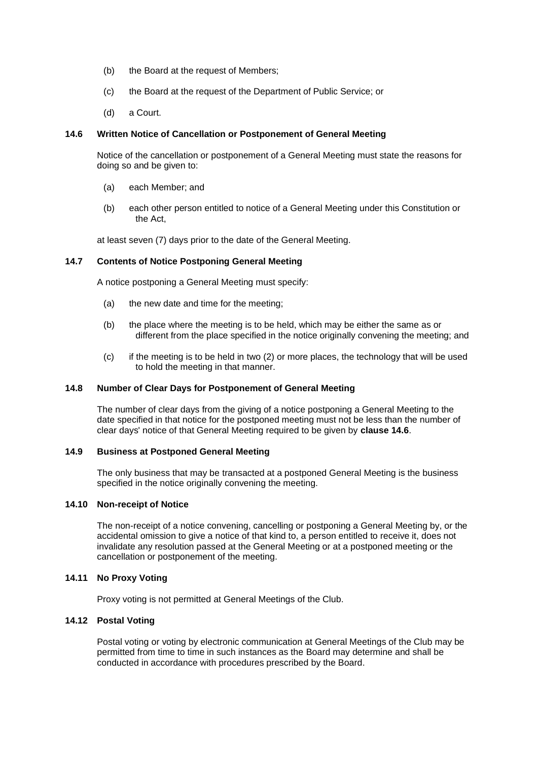- (b) the Board at the request of Members;
- (c) the Board at the request of the Department of Public Service; or
- (d) a Court.

#### <span id="page-17-0"></span>**14.6 Written Notice of Cancellation or Postponement of General Meeting**

Notice of the cancellation or postponement of a General Meeting must state the reasons for doing so and be given to:

- (a) each Member; and
- (b) each other person entitled to notice of a General Meeting under this Constitution or the Act,

at least seven (7) days prior to the date of the General Meeting.

## **14.7 Contents of Notice Postponing General Meeting**

A notice postponing a General Meeting must specify:

- (a) the new date and time for the meeting;
- (b) the place where the meeting is to be held, which may be either the same as or different from the place specified in the notice originally convening the meeting; and
- (c) if the meeting is to be held in two (2) or more places, the technology that will be used to hold the meeting in that manner.

#### **14.8 Number of Clear Days for Postponement of General Meeting**

The number of clear days from the giving of a notice postponing a General Meeting to the date specified in that notice for the postponed meeting must not be less than the number of clear days' notice of that General Meeting required to be given by **clause [14.6](#page-17-0)**.

# **14.9 Business at Postponed General Meeting**

The only business that may be transacted at a postponed General Meeting is the business specified in the notice originally convening the meeting.

#### **14.10 Non-receipt of Notice**

The non-receipt of a notice convening, cancelling or postponing a General Meeting by, or the accidental omission to give a notice of that kind to, a person entitled to receive it, does not invalidate any resolution passed at the General Meeting or at a postponed meeting or the cancellation or postponement of the meeting.

# **14.11 No Proxy Voting**

Proxy voting is not permitted at General Meetings of the Club.

#### **14.12 Postal Voting**

Postal voting or voting by electronic communication at General Meetings of the Club may be permitted from time to time in such instances as the Board may determine and shall be conducted in accordance with procedures prescribed by the Board.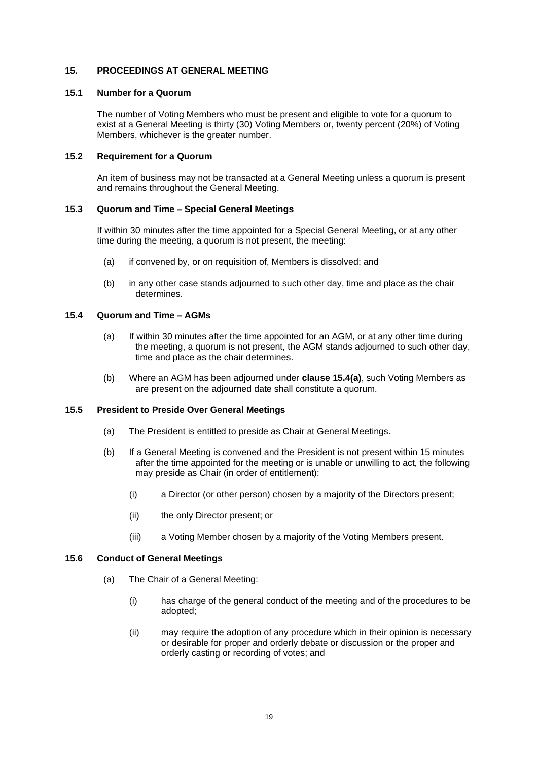## **15. PROCEEDINGS AT GENERAL MEETING**

#### **15.1 Number for a Quorum**

The number of Voting Members who must be present and eligible to vote for a quorum to exist at a General Meeting is thirty (30) Voting Members or, twenty percent (20%) of Voting Members, whichever is the greater number.

## **15.2 Requirement for a Quorum**

An item of business may not be transacted at a General Meeting unless a quorum is present and remains throughout the General Meeting.

#### **15.3 Quorum and Time – Special General Meetings**

If within 30 minutes after the time appointed for a Special General Meeting, or at any other time during the meeting, a quorum is not present, the meeting:

- (a) if convened by, or on requisition of, Members is dissolved; and
- (b) in any other case stands adjourned to such other day, time and place as the chair determines.

# <span id="page-18-0"></span>**15.4 Quorum and Time – AGMs**

- (a) If within 30 minutes after the time appointed for an AGM, or at any other time during the meeting, a quorum is not present, the AGM stands adjourned to such other day, time and place as the chair determines.
- (b) Where an AGM has been adjourned under **clause [15.4\(a\)](#page-18-0)**, such Voting Members as are present on the adjourned date shall constitute a quorum.

## **15.5 President to Preside Over General Meetings**

- (a) The President is entitled to preside as Chair at General Meetings.
- (b) If a General Meeting is convened and the President is not present within 15 minutes after the time appointed for the meeting or is unable or unwilling to act, the following may preside as Chair (in order of entitlement):
	- (i) a Director (or other person) chosen by a majority of the Directors present;
	- (ii) the only Director present; or
	- (iii) a Voting Member chosen by a majority of the Voting Members present.

# <span id="page-18-1"></span>**15.6 Conduct of General Meetings**

- (a) The Chair of a General Meeting:
	- (i) has charge of the general conduct of the meeting and of the procedures to be adopted;
	- (ii) may require the adoption of any procedure which in their opinion is necessary or desirable for proper and orderly debate or discussion or the proper and orderly casting or recording of votes; and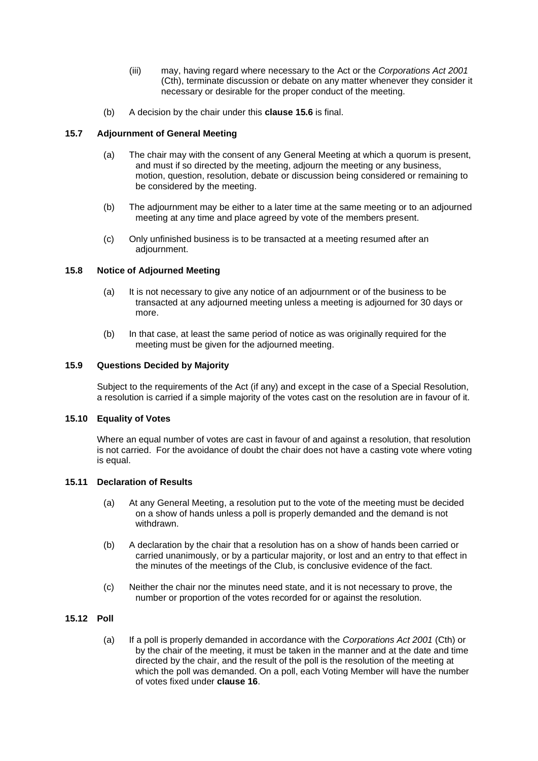- (iii) may, having regard where necessary to the Act or the *Corporations Act 2001*  (Cth), terminate discussion or debate on any matter whenever they consider it necessary or desirable for the proper conduct of the meeting.
- (b) A decision by the chair under this **clause [15.6](#page-18-1)** is final.

# **15.7 Adjournment of General Meeting**

- (a) The chair may with the consent of any General Meeting at which a quorum is present, and must if so directed by the meeting, adjourn the meeting or any business, motion, question, resolution, debate or discussion being considered or remaining to be considered by the meeting.
- (b) The adjournment may be either to a later time at the same meeting or to an adjourned meeting at any time and place agreed by vote of the members present.
- (c) Only unfinished business is to be transacted at a meeting resumed after an adjournment.

## **15.8 Notice of Adjourned Meeting**

- (a) It is not necessary to give any notice of an adjournment or of the business to be transacted at any adjourned meeting unless a meeting is adjourned for 30 days or more.
- (b) In that case, at least the same period of notice as was originally required for the meeting must be given for the adjourned meeting.

#### **15.9 Questions Decided by Majority**

Subject to the requirements of the Act (if any) and except in the case of a Special Resolution, a resolution is carried if a simple majority of the votes cast on the resolution are in favour of it.

#### **15.10 Equality of Votes**

Where an equal number of votes are cast in favour of and against a resolution, that resolution is not carried. For the avoidance of doubt the chair does not have a casting vote where voting is equal.

#### **15.11 Declaration of Results**

- (a) At any General Meeting, a resolution put to the vote of the meeting must be decided on a show of hands unless a poll is properly demanded and the demand is not withdrawn.
- (b) A declaration by the chair that a resolution has on a show of hands been carried or carried unanimously, or by a particular majority, or lost and an entry to that effect in the minutes of the meetings of the Club, is conclusive evidence of the fact.
- (c) Neither the chair nor the minutes need state, and it is not necessary to prove, the number or proportion of the votes recorded for or against the resolution.

# **15.12 Poll**

(a) If a poll is properly demanded in accordance with the *Corporations Act 2001* (Cth) or by the chair of the meeting, it must be taken in the manner and at the date and time directed by the chair, and the result of the poll is the resolution of the meeting at which the poll was demanded. On a poll, each Voting Member will have the number of votes fixed under **clause [16](#page-20-0)**.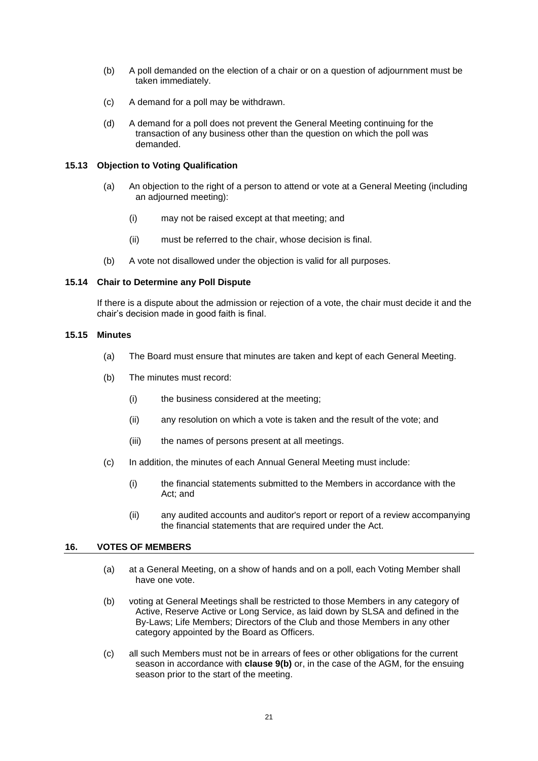- (b) A poll demanded on the election of a chair or on a question of adjournment must be taken immediately.
- (c) A demand for a poll may be withdrawn.
- (d) A demand for a poll does not prevent the General Meeting continuing for the transaction of any business other than the question on which the poll was demanded.

## **15.13 Objection to Voting Qualification**

- (a) An objection to the right of a person to attend or vote at a General Meeting (including an adjourned meeting):
	- (i) may not be raised except at that meeting; and
	- (ii) must be referred to the chair, whose decision is final.
- (b) A vote not disallowed under the objection is valid for all purposes.

# **15.14 Chair to Determine any Poll Dispute**

If there is a dispute about the admission or rejection of a vote, the chair must decide it and the chair's decision made in good faith is final.

#### **15.15 Minutes**

- (a) The Board must ensure that minutes are taken and kept of each General Meeting.
- (b) The minutes must record:
	- (i) the business considered at the meeting;
	- (ii) any resolution on which a vote is taken and the result of the vote; and
	- (iii) the names of persons present at all meetings.
- (c) In addition, the minutes of each Annual General Meeting must include:
	- (i) the financial statements submitted to the Members in accordance with the Act; and
	- (ii) any audited accounts and auditor's report or report of a review accompanying the financial statements that are required under the Act.

# <span id="page-20-0"></span>**16. VOTES OF MEMBERS**

- (a) at a General Meeting, on a show of hands and on a poll, each Voting Member shall have one vote.
- (b) voting at General Meetings shall be restricted to those Members in any category of Active, Reserve Active or Long Service, as laid down by SLSA and defined in the By-Laws; Life Members; Directors of the Club and those Members in any other category appointed by the Board as Officers.
- (c) all such Members must not be in arrears of fees or other obligations for the current season in accordance with **clause 9(b)** or, in the case of the AGM, for the ensuing season prior to the start of the meeting.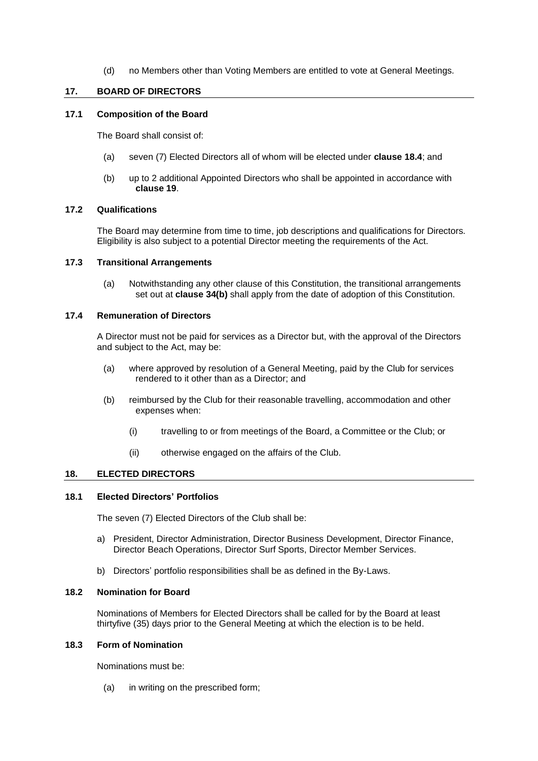(d) no Members other than Voting Members are entitled to vote at General Meetings.

# **17. BOARD OF DIRECTORS**

# <span id="page-21-0"></span>**17.1 Composition of the Board**

The Board shall consist of:

- (a) seven (7) Elected Directors all of whom will be elected under **clause [18.4](#page-22-1)**; and
- (b) up to 2 additional Appointed Directors who shall be appointed in accordance with **clause [19](#page-22-0)**.

# **17.2 Qualifications**

The Board may determine from time to time, job descriptions and qualifications for Directors. Eligibility is also subject to a potential Director meeting the requirements of the Act.

## <span id="page-21-2"></span>**17.3 Transitional Arrangements**

(a) Notwithstanding any other clause of this Constitution, the transitional arrangements set out at **clause [34\(b\)](#page-34-0)** shall apply from the date of adoption of this Constitution.

# **17.4 Remuneration of Directors**

A Director must not be paid for services as a Director but, with the approval of the Directors and subject to the Act, may be:

- (a) where approved by resolution of a General Meeting, paid by the Club for services rendered to it other than as a Director; and
- (b) reimbursed by the Club for their reasonable travelling, accommodation and other expenses when:
	- (i) travelling to or from meetings of the Board, a Committee or the Club; or
	- (ii) otherwise engaged on the affairs of the Club.

#### <span id="page-21-1"></span>**18. ELECTED DIRECTORS**

#### **18.1 Elected Directors' Portfolios**

The seven (7) Elected Directors of the Club shall be:

- a) President, Director Administration, Director Business Development, Director Finance, Director Beach Operations, Director Surf Sports, Director Member Services.
- b) Directors' portfolio responsibilities shall be as defined in the By-Laws.

# **18.2 Nomination for Board**

Nominations of Members for Elected Directors shall be called for by the Board at least thirtyfive (35) days prior to the General Meeting at which the election is to be held.

#### **18.3 Form of Nomination**

Nominations must be:

(a) in writing on the prescribed form;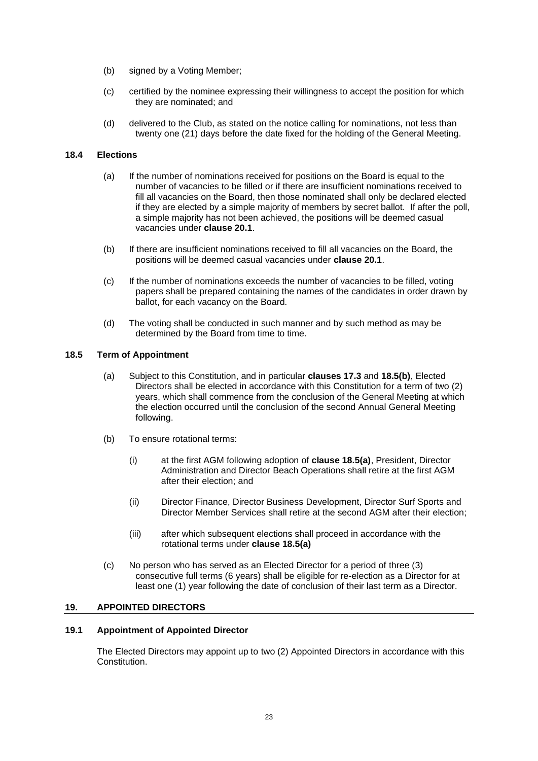- (b) signed by a Voting Member;
- (c) certified by the nominee expressing their willingness to accept the position for which they are nominated; and
- (d) delivered to the Club, as stated on the notice calling for nominations, not less than twenty one (21) days before the date fixed for the holding of the General Meeting.

## <span id="page-22-1"></span>**18.4 Elections**

- (a) If the number of nominations received for positions on the Board is equal to the number of vacancies to be filled or if there are insufficient nominations received to fill all vacancies on the Board, then those nominated shall only be declared elected if they are elected by a simple majority of members by secret ballot. If after the poll, a simple majority has not been achieved, the positions will be deemed casual vacancies under **claus[e 20.1](#page-23-0)**.
- (b) If there are insufficient nominations received to fill all vacancies on the Board, the positions will be deemed casual vacancies under **clause [20.1](#page-23-0)**.
- (c) If the number of nominations exceeds the number of vacancies to be filled, voting papers shall be prepared containing the names of the candidates in order drawn by ballot, for each vacancy on the Board.
- (d) The voting shall be conducted in such manner and by such method as may be determined by the Board from time to time.

## <span id="page-22-4"></span>**18.5 Term of Appointment**

- (a) Subject to this Constitution, and in particular **clauses [17.3](#page-21-2)** and **18.5(b)**, Elected Directors shall be elected in accordance with this Constitution for a term of two (2) years, which shall commence from the conclusion of the General Meeting at which the election occurred until the conclusion of the second Annual General Meeting following.
- (b) To ensure rotational terms:
	- (i) at the first AGM following adoption of **clause 18.5(a)**, President, Director Administration and Director Beach Operations shall retire at the first AGM after their election; and
	- (ii) Director Finance, Director Business Development, Director Surf Sports and Director Member Services shall retire at the second AGM after their election;
	- (iii) after which subsequent elections shall proceed in accordance with the rotational terms under **clause 18.5(a)**
- <span id="page-22-3"></span>(c) No person who has served as an Elected Director for a period of three (3) consecutive full terms (6 years) shall be eligible for re-election as a Director for at least one (1) year following the date of conclusion of their last term as a Director.

#### <span id="page-22-0"></span>**19. APPOINTED DIRECTORS**

# <span id="page-22-2"></span>**19.1 Appointment of Appointed Director**

The Elected Directors may appoint up to two (2) Appointed Directors in accordance with this Constitution.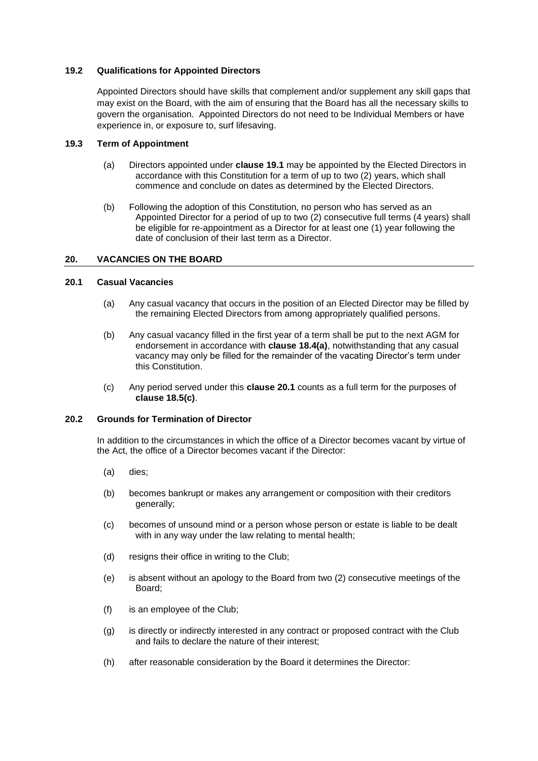# **19.2 Qualifications for Appointed Directors**

Appointed Directors should have skills that complement and/or supplement any skill gaps that may exist on the Board, with the aim of ensuring that the Board has all the necessary skills to govern the organisation. Appointed Directors do not need to be Individual Members or have experience in, or exposure to, surf lifesaving.

# **19.3 Term of Appointment**

- (a) Directors appointed under **claus[e 19.1](#page-22-2)** may be appointed by the Elected Directors in accordance with this Constitution for a term of up to two (2) years, which shall commence and conclude on dates as determined by the Elected Directors.
- (b) Following the adoption of this Constitution, no person who has served as an Appointed Director for a period of up to two (2) consecutive full terms (4 years) shall be eligible for re-appointment as a Director for at least one (1) year following the date of conclusion of their last term as a Director.

## **20. VACANCIES ON THE BOARD**

# <span id="page-23-0"></span>**20.1 Casual Vacancies**

- (a) Any casual vacancy that occurs in the position of an Elected Director may be filled by the remaining Elected Directors from among appropriately qualified persons.
- (b) Any casual vacancy filled in the first year of a term shall be put to the next AGM for endorsement in accordance with **clause 18.4(a)**, notwithstanding that any casual vacancy may only be filled for the remainder of the vacating Director's term under this Constitution.
- (c) Any period served under this **clause [20.1](#page-23-0)** counts as a full term for the purposes of **clause [18.5\(c\)](#page-22-3)**.

#### **20.2 Grounds for Termination of Director**

In addition to the circumstances in which the office of a Director becomes vacant by virtue of the Act, the office of a Director becomes vacant if the Director:

- (a) dies;
- (b) becomes bankrupt or makes any arrangement or composition with their creditors generally;
- (c) becomes of unsound mind or a person whose person or estate is liable to be dealt with in any way under the law relating to mental health;
- (d) resigns their office in writing to the Club;
- (e) is absent without an apology to the Board from two (2) consecutive meetings of the Board;
- (f) is an employee of the Club;
- (g) is directly or indirectly interested in any contract or proposed contract with the Club and fails to declare the nature of their interest;
- (h) after reasonable consideration by the Board it determines the Director: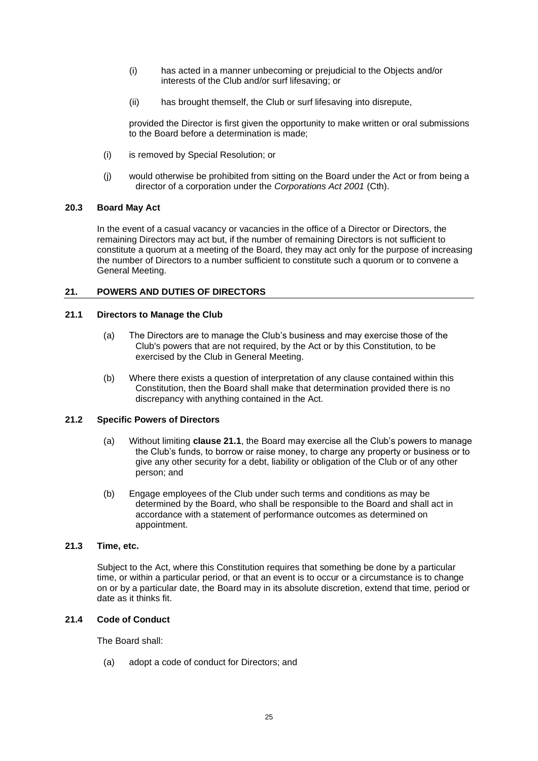- (i) has acted in a manner unbecoming or prejudicial to the Objects and/or interests of the Club and/or surf lifesaving; or
- (ii) has brought themself, the Club or surf lifesaving into disrepute,

provided the Director is first given the opportunity to make written or oral submissions to the Board before a determination is made;

- (i) is removed by Special Resolution; or
- (j) would otherwise be prohibited from sitting on the Board under the Act or from being a director of a corporation under the *Corporations Act 2001* (Cth).

## **20.3 Board May Act**

In the event of a casual vacancy or vacancies in the office of a Director or Directors, the remaining Directors may act but, if the number of remaining Directors is not sufficient to constitute a quorum at a meeting of the Board, they may act only for the purpose of increasing the number of Directors to a number sufficient to constitute such a quorum or to convene a General Meeting.

# **21. POWERS AND DUTIES OF DIRECTORS**

# <span id="page-24-0"></span>**21.1 Directors to Manage the Club**

- (a) The Directors are to manage the Club's business and may exercise those of the Club's powers that are not required, by the Act or by this Constitution, to be exercised by the Club in General Meeting.
- (b) Where there exists a question of interpretation of any clause contained within this Constitution, then the Board shall make that determination provided there is no discrepancy with anything contained in the Act.

## **21.2 Specific Powers of Directors**

- (a) Without limiting **clause [21.1](#page-24-0)**, the Board may exercise all the Club's powers to manage the Club's funds, to borrow or raise money, to charge any property or business or to give any other security for a debt, liability or obligation of the Club or of any other person; and
- (b) Engage employees of the Club under such terms and conditions as may be determined by the Board, who shall be responsible to the Board and shall act in accordance with a statement of performance outcomes as determined on appointment.

#### **21.3 Time, etc.**

Subject to the Act, where this Constitution requires that something be done by a particular time, or within a particular period, or that an event is to occur or a circumstance is to change on or by a particular date, the Board may in its absolute discretion, extend that time, period or date as it thinks fit.

## **21.4 Code of Conduct**

The Board shall:

(a) adopt a code of conduct for Directors; and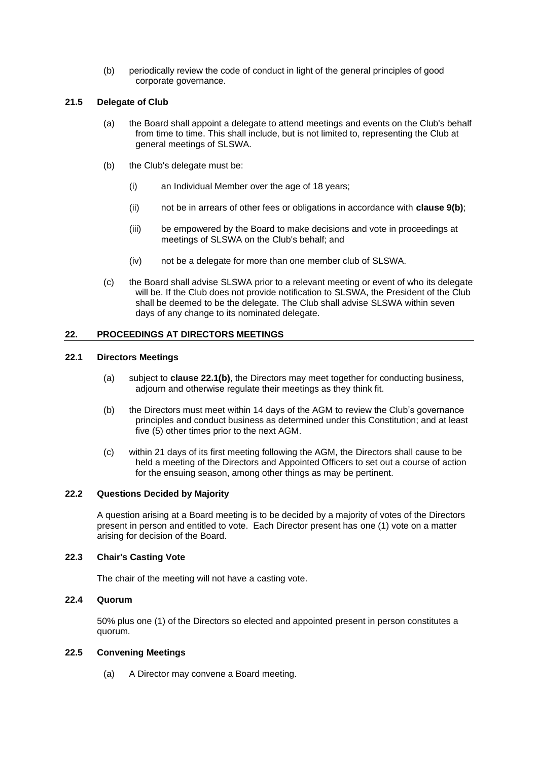(b) periodically review the code of conduct in light of the general principles of good corporate governance.

# **21.5 Delegate of Club**

- (a) the Board shall appoint a delegate to attend meetings and events on the Club's behalf from time to time. This shall include, but is not limited to, representing the Club at general meetings of SLSWA.
- (b) the Club's delegate must be:
	- (i) an Individual Member over the age of 18 years;
	- (ii) not be in arrears of other fees or obligations in accordance with **clause 9(b)**;
	- (iii) be empowered by the Board to make decisions and vote in proceedings at meetings of SLSWA on the Club's behalf; and
	- (iv) not be a delegate for more than one member club of SLSWA.
- (c) the Board shall advise SLSWA prior to a relevant meeting or event of who its delegate will be. If the Club does not provide notification to SLSWA, the President of the Club shall be deemed to be the delegate. The Club shall advise SLSWA within seven days of any change to its nominated delegate.

# **22. PROCEEDINGS AT DIRECTORS MEETINGS**

#### **22.1 Directors Meetings**

- (a) subject to **clause [22.1\(b\)](#page-25-0)**, the Directors may meet together for conducting business, adjourn and otherwise regulate their meetings as they think fit.
- <span id="page-25-0"></span>(b) the Directors must meet within 14 days of the AGM to review the Club's governance principles and conduct business as determined under this Constitution; and at least five (5) other times prior to the next AGM.
- (c) within 21 days of its first meeting following the AGM, the Directors shall cause to be held a meeting of the Directors and Appointed Officers to set out a course of action for the ensuing season, among other things as may be pertinent.

## **22.2 Questions Decided by Majority**

A question arising at a Board meeting is to be decided by a majority of votes of the Directors present in person and entitled to vote. Each Director present has one (1) vote on a matter arising for decision of the Board.

# **22.3 Chair's Casting Vote**

The chair of the meeting will not have a casting vote.

# **22.4 Quorum**

50% plus one (1) of the Directors so elected and appointed present in person constitutes a quorum.

#### **22.5 Convening Meetings**

(a) A Director may convene a Board meeting.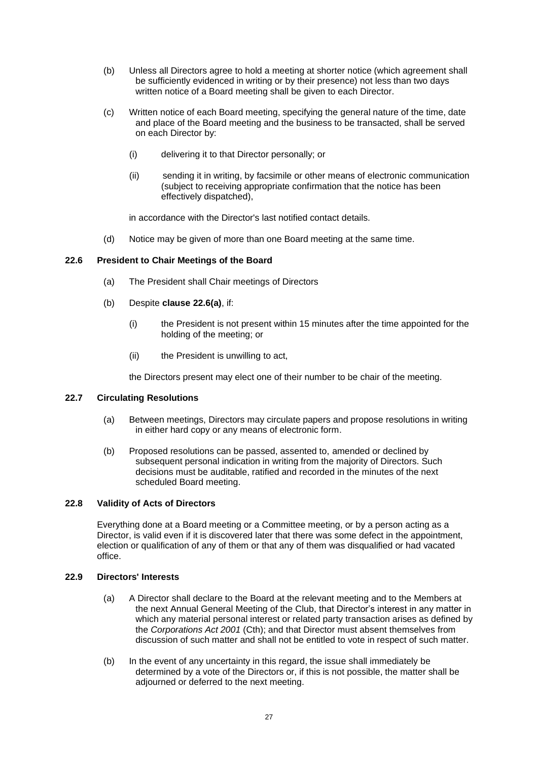- (b) Unless all Directors agree to hold a meeting at shorter notice (which agreement shall be sufficiently evidenced in writing or by their presence) not less than two days written notice of a Board meeting shall be given to each Director.
- (c) Written notice of each Board meeting, specifying the general nature of the time, date and place of the Board meeting and the business to be transacted, shall be served on each Director by:
	- (i) delivering it to that Director personally; or
	- (ii) sending it in writing, by facsimile or other means of electronic communication (subject to receiving appropriate confirmation that the notice has been effectively dispatched),

<span id="page-26-1"></span>in accordance with the Director's last notified contact details.

(d) Notice may be given of more than one Board meeting at the same time.

## <span id="page-26-0"></span>**22.6 President to Chair Meetings of the Board**

- (a) The President shall Chair meetings of Directors
- (b) Despite **clause [22.6\(a\)](#page-26-1)**, if:
	- (i) the President is not present within 15 minutes after the time appointed for the holding of the meeting; or
	- (ii) the President is unwilling to act,

the Directors present may elect one of their number to be chair of the meeting.

#### **22.7 Circulating Resolutions**

- (a) Between meetings, Directors may circulate papers and propose resolutions in writing in either hard copy or any means of electronic form.
- (b) Proposed resolutions can be passed, assented to, amended or declined by subsequent personal indication in writing from the majority of Directors. Such decisions must be auditable, ratified and recorded in the minutes of the next scheduled Board meeting.

# **22.8 Validity of Acts of Directors**

Everything done at a Board meeting or a Committee meeting, or by a person acting as a Director, is valid even if it is discovered later that there was some defect in the appointment, election or qualification of any of them or that any of them was disqualified or had vacated office.

#### **22.9 Directors' Interests**

- (a) A Director shall declare to the Board at the relevant meeting and to the Members at the next Annual General Meeting of the Club, that Director's interest in any matter in which any material personal interest or related party transaction arises as defined by the *Corporations Act 2001* (Cth); and that Director must absent themselves from discussion of such matter and shall not be entitled to vote in respect of such matter.
- (b) In the event of any uncertainty in this regard, the issue shall immediately be determined by a vote of the Directors or, if this is not possible, the matter shall be adjourned or deferred to the next meeting.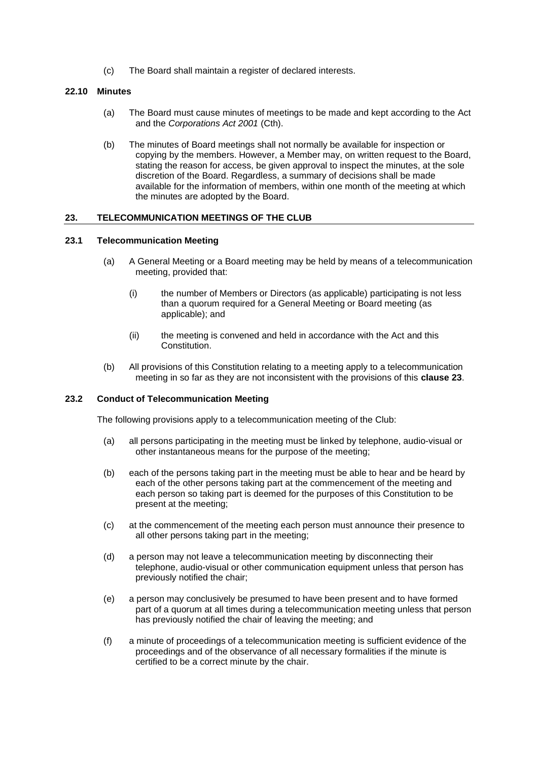(c) The Board shall maintain a register of declared interests.

## **22.10 Minutes**

- (a) The Board must cause minutes of meetings to be made and kept according to the Act and the *Corporations Act 2001* (Cth).
- (b) The minutes of Board meetings shall not normally be available for inspection or copying by the members. However, a Member may, on written request to the Board, stating the reason for access, be given approval to inspect the minutes, at the sole discretion of the Board. Regardless, a summary of decisions shall be made available for the information of members, within one month of the meeting at which the minutes are adopted by the Board.

## <span id="page-27-0"></span>**23. TELECOMMUNICATION MEETINGS OF THE CLUB**

#### **23.1 Telecommunication Meeting**

- (a) A General Meeting or a Board meeting may be held by means of a telecommunication meeting, provided that:
	- (i) the number of Members or Directors (as applicable) participating is not less than a quorum required for a General Meeting or Board meeting (as applicable); and
	- (ii) the meeting is convened and held in accordance with the Act and this Constitution.
- (b) All provisions of this Constitution relating to a meeting apply to a telecommunication meeting in so far as they are not inconsistent with the provisions of this **claus[e 23](#page-27-0)**.

#### **23.2 Conduct of Telecommunication Meeting**

The following provisions apply to a telecommunication meeting of the Club:

- (a) all persons participating in the meeting must be linked by telephone, audio-visual or other instantaneous means for the purpose of the meeting;
- (b) each of the persons taking part in the meeting must be able to hear and be heard by each of the other persons taking part at the commencement of the meeting and each person so taking part is deemed for the purposes of this Constitution to be present at the meeting;
- (c) at the commencement of the meeting each person must announce their presence to all other persons taking part in the meeting;
- (d) a person may not leave a telecommunication meeting by disconnecting their telephone, audio-visual or other communication equipment unless that person has previously notified the chair;
- (e) a person may conclusively be presumed to have been present and to have formed part of a quorum at all times during a telecommunication meeting unless that person has previously notified the chair of leaving the meeting; and
- (f) a minute of proceedings of a telecommunication meeting is sufficient evidence of the proceedings and of the observance of all necessary formalities if the minute is certified to be a correct minute by the chair.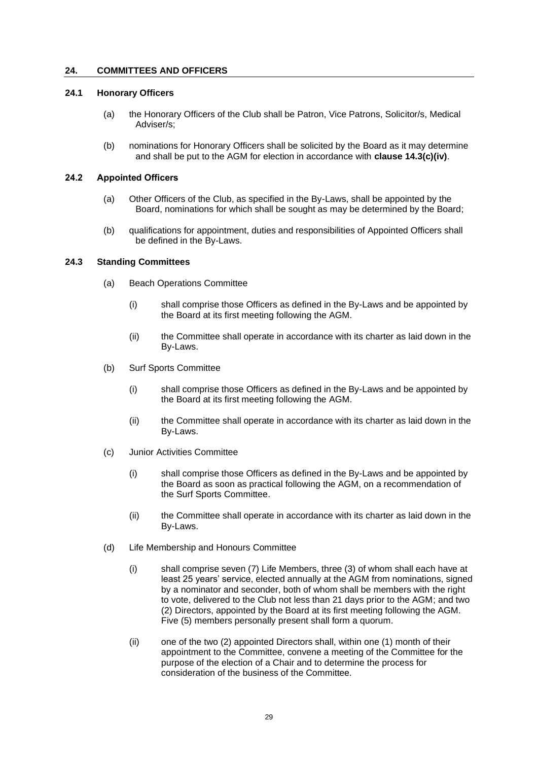# <span id="page-28-0"></span>**24. COMMITTEES AND OFFICERS**

#### **24.1 Honorary Officers**

- (a) the Honorary Officers of the Club shall be Patron, Vice Patrons, Solicitor/s, Medical Adviser/s;
- (b) nominations for Honorary Officers shall be solicited by the Board as it may determine and shall be put to the AGM for election in accordance with **clause 14.3(c)(iv)**.

#### **24.2 Appointed Officers**

- (a) Other Officers of the Club, as specified in the By-Laws, shall be appointed by the Board, nominations for which shall be sought as may be determined by the Board;
- (b) qualifications for appointment, duties and responsibilities of Appointed Officers shall be defined in the By-Laws.

## **24.3 Standing Committees**

- (a) Beach Operations Committee
	- (i) shall comprise those Officers as defined in the By-Laws and be appointed by the Board at its first meeting following the AGM.
	- (ii) the Committee shall operate in accordance with its charter as laid down in the By-Laws.
- (b) Surf Sports Committee
	- (i) shall comprise those Officers as defined in the By-Laws and be appointed by the Board at its first meeting following the AGM.
	- (ii) the Committee shall operate in accordance with its charter as laid down in the By-Laws.
- (c) Junior Activities Committee
	- (i) shall comprise those Officers as defined in the By-Laws and be appointed by the Board as soon as practical following the AGM, on a recommendation of the Surf Sports Committee.
	- (ii) the Committee shall operate in accordance with its charter as laid down in the By-Laws.
- (d) Life Membership and Honours Committee
	- (i) shall comprise seven (7) Life Members, three (3) of whom shall each have at least 25 years' service, elected annually at the AGM from nominations, signed by a nominator and seconder, both of whom shall be members with the right to vote, delivered to the Club not less than 21 days prior to the AGM; and two (2) Directors, appointed by the Board at its first meeting following the AGM. Five (5) members personally present shall form a quorum.
	- (ii) one of the two (2) appointed Directors shall, within one (1) month of their appointment to the Committee, convene a meeting of the Committee for the purpose of the election of a Chair and to determine the process for consideration of the business of the Committee.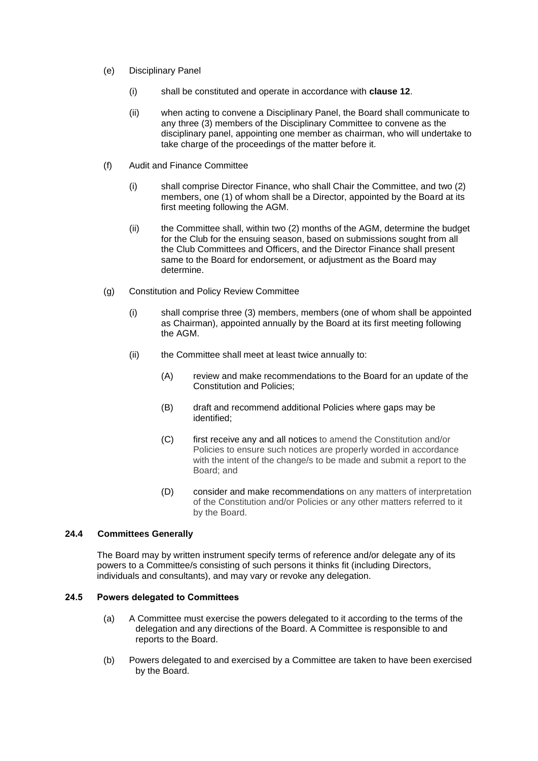- (e) Disciplinary Panel
	- (i) shall be constituted and operate in accordance with **clause 12**.
	- (ii) when acting to convene a Disciplinary Panel, the Board shall communicate to any three (3) members of the Disciplinary Committee to convene as the disciplinary panel, appointing one member as chairman, who will undertake to take charge of the proceedings of the matter before it.
- (f) Audit and Finance Committee
	- (i) shall comprise Director Finance, who shall Chair the Committee, and two (2) members, one (1) of whom shall be a Director, appointed by the Board at its first meeting following the AGM.
	- (ii) the Committee shall, within two (2) months of the AGM, determine the budget for the Club for the ensuing season, based on submissions sought from all the Club Committees and Officers, and the Director Finance shall present same to the Board for endorsement, or adjustment as the Board may determine.
- (g) Constitution and Policy Review Committee
	- (i) shall comprise three (3) members, members (one of whom shall be appointed as Chairman), appointed annually by the Board at its first meeting following the AGM.
	- (ii) the Committee shall meet at least twice annually to:
		- (A) review and make recommendations to the Board for an update of the Constitution and Policies;
		- (B) draft and recommend additional Policies where gaps may be identified;
		- (C) first receive any and all notices to amend the Constitution and/or Policies to ensure such notices are properly worded in accordance with the intent of the change/s to be made and submit a report to the Board; and
		- (D) consider and make recommendations on any matters of interpretation of the Constitution and/or Policies or any other matters referred to it by the Board.

# **24.4 Committees Generally**

The Board may by written instrument specify terms of reference and/or delegate any of its powers to a Committee/s consisting of such persons it thinks fit (including Directors, individuals and consultants), and may vary or revoke any delegation.

# **24.5 Powers delegated to Committees**

- (a) A Committee must exercise the powers delegated to it according to the terms of the delegation and any directions of the Board. A Committee is responsible to and reports to the Board.
- (b) Powers delegated to and exercised by a Committee are taken to have been exercised by the Board.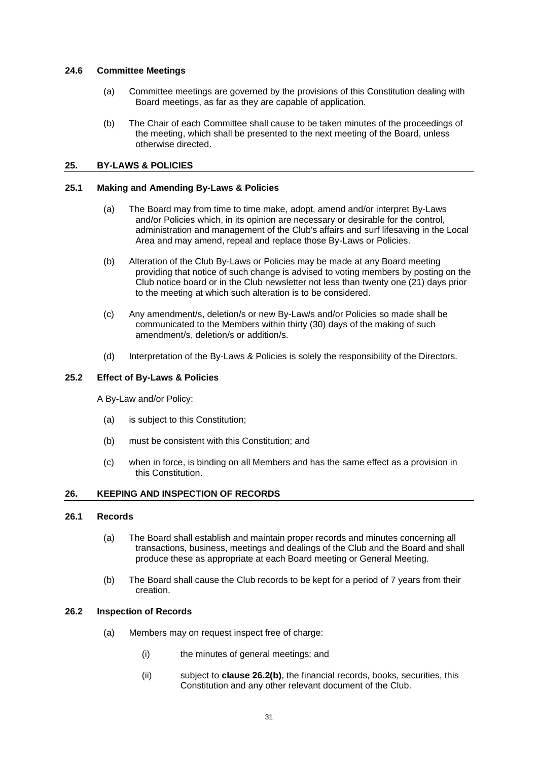#### **24.6 Committee Meetings**

- (a) Committee meetings are governed by the provisions of this Constitution dealing with Board meetings, as far as they are capable of application.
- (b) The Chair of each Committee shall cause to be taken minutes of the proceedings of the meeting, which shall be presented to the next meeting of the Board, unless otherwise directed.

## <span id="page-30-0"></span>**25. BY-LAWS & POLICIES**

# **25.1 Making and Amending By-Laws & Policies**

- (a) The Board may from time to time make, adopt, amend and/or interpret By-Laws and/or Policies which, in its opinion are necessary or desirable for the control, administration and management of the Club's affairs and surf lifesaving in the Local Area and may amend, repeal and replace those By-Laws or Policies.
- (b) Alteration of the Club By-Laws or Policies may be made at any Board meeting providing that notice of such change is advised to voting members by posting on the Club notice board or in the Club newsletter not less than twenty one (21) days prior to the meeting at which such alteration is to be considered.
- (c) Any amendment/s, deletion/s or new By-Law/s and/or Policies so made shall be communicated to the Members within thirty (30) days of the making of such amendment/s, deletion/s or addition/s.
- (d) Interpretation of the By-Laws & Policies is solely the responsibility of the Directors.

#### **25.2 Effect of By-Laws & Policies**

A By-Law and/or Policy:

- (a) is subject to this Constitution;
- (b) must be consistent with this Constitution; and
- (c) when in force, is binding on all Members and has the same effect as a provision in this Constitution.

## **26. KEEPING AND INSPECTION OF RECORDS**

## **26.1 Records**

- (a) The Board shall establish and maintain proper records and minutes concerning all transactions, business, meetings and dealings of the Club and the Board and shall produce these as appropriate at each Board meeting or General Meeting.
- (b) The Board shall cause the Club records to be kept for a period of 7 years from their creation.

#### **26.2 Inspection of Records**

- (a) Members may on request inspect free of charge:
	- (i) the minutes of general meetings; and
	- (ii) subject to **clause [26.2\(b\)](#page-31-0)**, the financial records, books, securities, this Constitution and any other relevant document of the Club.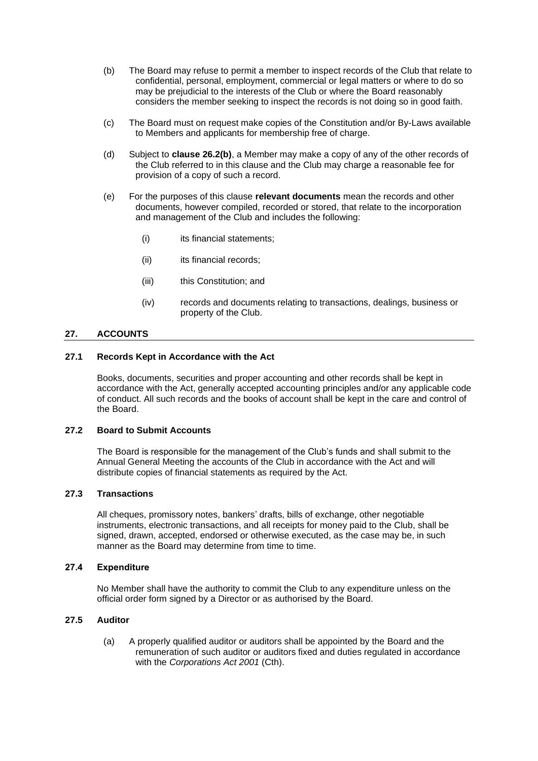- <span id="page-31-0"></span>(b) The Board may refuse to permit a member to inspect records of the Club that relate to confidential, personal, employment, commercial or legal matters or where to do so may be prejudicial to the interests of the Club or where the Board reasonably considers the member seeking to inspect the records is not doing so in good faith.
- (c) The Board must on request make copies of the Constitution and/or By-Laws available to Members and applicants for membership free of charge.
- (d) Subject to **clause [26.2\(b\)](#page-31-0)**, a Member may make a copy of any of the other records of the Club referred to in this clause and the Club may charge a reasonable fee for provision of a copy of such a record.
- (e) For the purposes of this clause **relevant documents** mean the records and other documents, however compiled, recorded or stored, that relate to the incorporation and management of the Club and includes the following:
	- (i) its financial statements;
	- (ii) its financial records;
	- (iii) this Constitution; and
	- (iv) records and documents relating to transactions, dealings, business or property of the Club.

# **27. ACCOUNTS**

#### **27.1 Records Kept in Accordance with the Act**

Books, documents, securities and proper accounting and other records shall be kept in accordance with the Act, generally accepted accounting principles and/or any applicable code of conduct. All such records and the books of account shall be kept in the care and control of the Board.

# **27.2 Board to Submit Accounts**

The Board is responsible for the management of the Club's funds and shall submit to the Annual General Meeting the accounts of the Club in accordance with the Act and will distribute copies of financial statements as required by the Act.

# **27.3 Transactions**

All cheques, promissory notes, bankers' drafts, bills of exchange, other negotiable instruments, electronic transactions, and all receipts for money paid to the Club, shall be signed, drawn, accepted, endorsed or otherwise executed, as the case may be, in such manner as the Board may determine from time to time.

## **27.4 Expenditure**

No Member shall have the authority to commit the Club to any expenditure unless on the official order form signed by a Director or as authorised by the Board.

# **27.5 Auditor**

(a) A properly qualified auditor or auditors shall be appointed by the Board and the remuneration of such auditor or auditors fixed and duties regulated in accordance with the *Corporations Act 2001* (Cth).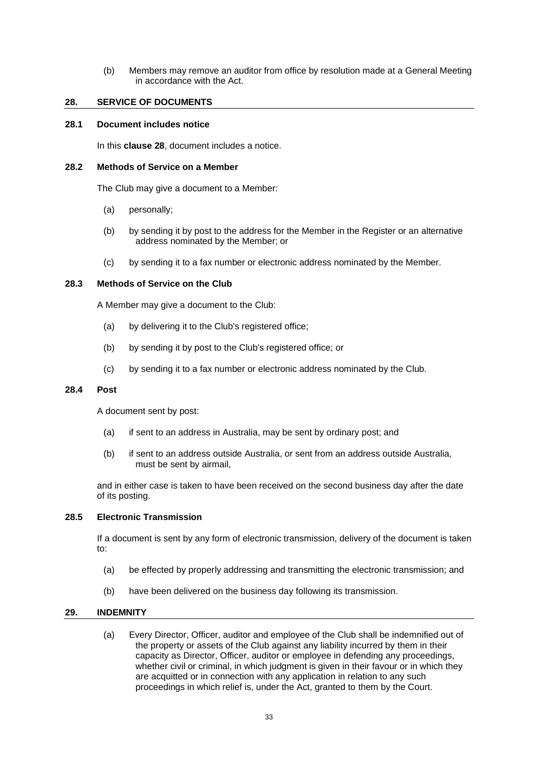(b) Members may remove an auditor from office by resolution made at a General Meeting in accordance with the Act.

#### <span id="page-32-0"></span>**28. SERVICE OF DOCUMENTS**

#### **28.1 Document includes notice**

In this **clause [28](#page-32-0)**, document includes a notice.

#### **28.2 Methods of Service on a Member**

The Club may give a document to a Member:

- (a) personally;
- (b) by sending it by post to the address for the Member in the Register or an alternative address nominated by the Member; or
- (c) by sending it to a fax number or electronic address nominated by the Member.

## **28.3 Methods of Service on the Club**

A Member may give a document to the Club:

- (a) by delivering it to the Club's registered office;
- (b) by sending it by post to the Club's registered office; or
- (c) by sending it to a fax number or electronic address nominated by the Club.

#### **28.4 Post**

A document sent by post:

- (a) if sent to an address in Australia, may be sent by ordinary post; and
- (b) if sent to an address outside Australia, or sent from an address outside Australia, must be sent by airmail,

and in either case is taken to have been received on the second business day after the date of its posting.

#### **28.5 Electronic Transmission**

If a document is sent by any form of electronic transmission, delivery of the document is taken to:

- (a) be effected by properly addressing and transmitting the electronic transmission; and
- (b) have been delivered on the business day following its transmission.

# **29. INDEMNITY**

(a) Every Director, Officer, auditor and employee of the Club shall be indemnified out of the property or assets of the Club against any liability incurred by them in their capacity as Director, Officer, auditor or employee in defending any proceedings, whether civil or criminal, in which judgment is given in their favour or in which they are acquitted or in connection with any application in relation to any such proceedings in which relief is, under the Act, granted to them by the Court.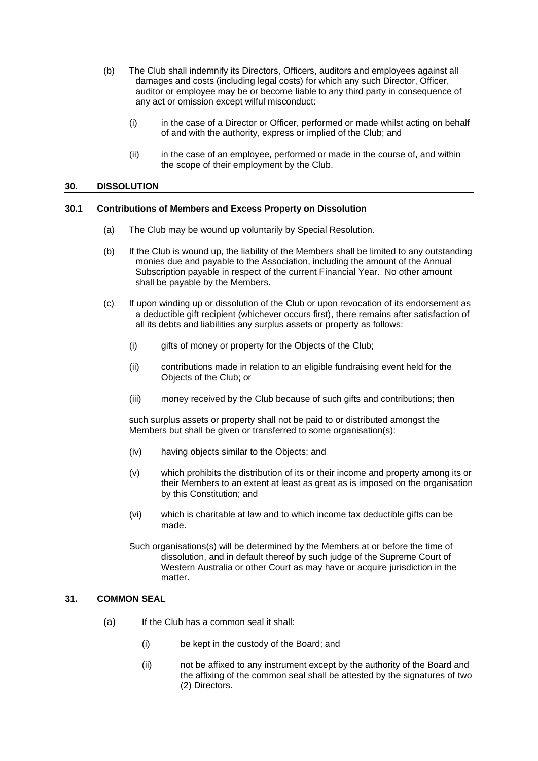- (b) The Club shall indemnify its Directors, Officers, auditors and employees against all damages and costs (including legal costs) for which any such Director, Officer, auditor or employee may be or become liable to any third party in consequence of any act or omission except wilful misconduct:
	- (i) in the case of a Director or Officer, performed or made whilst acting on behalf of and with the authority, express or implied of the Club; and
	- (ii) in the case of an employee, performed or made in the course of, and within the scope of their employment by the Club.

#### **30. DISSOLUTION**

#### **30.1 Contributions of Members and Excess Property on Dissolution**

- (a) The Club may be wound up voluntarily by Special Resolution.
- (b) If the Club is wound up, the liability of the Members shall be limited to any outstanding monies due and payable to the Association, including the amount of the Annual Subscription payable in respect of the current Financial Year. No other amount shall be payable by the Members.
- (c) If upon winding up or dissolution of the Club or upon revocation of its endorsement as a deductible gift recipient (whichever occurs first), there remains after satisfaction of all its debts and liabilities any surplus assets or property as follows:
	- (i) gifts of money or property for the Objects of the Club;
	- (ii) contributions made in relation to an eligible fundraising event held for the Objects of the Club; or
	- (iii) money received by the Club because of such gifts and contributions; then

such surplus assets or property shall not be paid to or distributed amongst the Members but shall be given or transferred to some organisation(s):

- (iv) having objects similar to the Objects; and
- (v) which prohibits the distribution of its or their income and property among its or their Members to an extent at least as great as is imposed on the organisation by this Constitution; and
- (vi) which is charitable at law and to which income tax deductible gifts can be made.

Such organisations(s) will be determined by the Members at or before the time of dissolution, and in default thereof by such judge of the Supreme Court of Western Australia or other Court as may have or acquire jurisdiction in the matter.

#### **31. COMMON SEAL**

- (a) If the Club has a common seal it shall:
	- (i) be kept in the custody of the Board; and
	- (ii) not be affixed to any instrument except by the authority of the Board and the affixing of the common seal shall be attested by the signatures of two (2) Directors.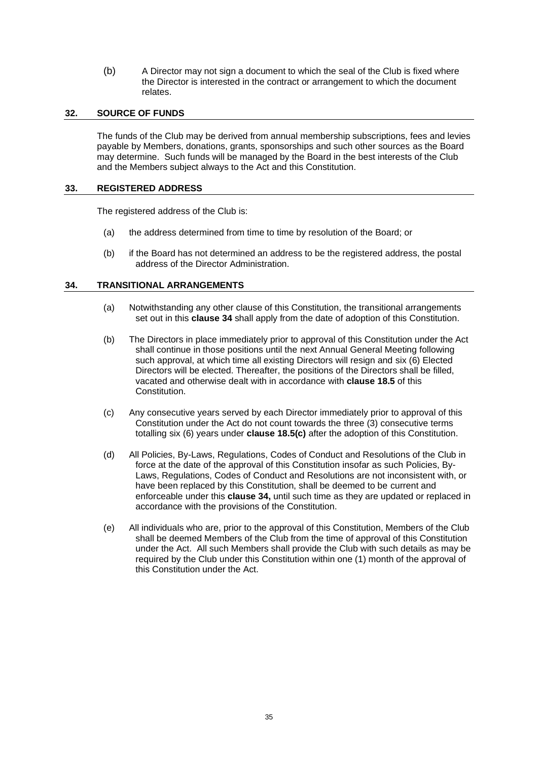(b) A Director may not sign a document to which the seal of the Club is fixed where the Director is interested in the contract or arrangement to which the document relates.

# **32. SOURCE OF FUNDS**

The funds of the Club may be derived from annual membership subscriptions, fees and levies payable by Members, donations, grants, sponsorships and such other sources as the Board may determine. Such funds will be managed by the Board in the best interests of the Club and the Members subject always to the Act and this Constitution.

#### **33. REGISTERED ADDRESS**

The registered address of the Club is:

- (a) the address determined from time to time by resolution of the Board; or
- (b) if the Board has not determined an address to be the registered address, the postal address of the Director Administration.

## <span id="page-34-1"></span>**34. TRANSITIONAL ARRANGEMENTS**

- (a) Notwithstanding any other clause of this Constitution, the transitional arrangements set out in this **claus[e 34](#page-34-1)** shall apply from the date of adoption of this Constitution.
- <span id="page-34-0"></span>(b) The Directors in place immediately prior to approval of this Constitution under the Act shall continue in those positions until the next Annual General Meeting following such approval, at which time all existing Directors will resign and six (6) Elected Directors will be elected. Thereafter, the positions of the Directors shall be filled, vacated and otherwise dealt with in accordance with **clause [18.5](#page-22-4)** of this Constitution.
- (c) Any consecutive years served by each Director immediately prior to approval of this Constitution under the Act do not count towards the three (3) consecutive terms totalling six (6) years under **claus[e 18.5\(c\)](#page-22-3)** after the adoption of this Constitution.
- (d) All Policies, By-Laws, Regulations, Codes of Conduct and Resolutions of the Club in force at the date of the approval of this Constitution insofar as such Policies, By-Laws, Regulations, Codes of Conduct and Resolutions are not inconsistent with, or have been replaced by this Constitution, shall be deemed to be current and enforceable under this **claus[e 34,](#page-34-1)** until such time as they are updated or replaced in accordance with the provisions of the Constitution.
- (e) All individuals who are, prior to the approval of this Constitution, Members of the Club shall be deemed Members of the Club from the time of approval of this Constitution under the Act. All such Members shall provide the Club with such details as may be required by the Club under this Constitution within one (1) month of the approval of this Constitution under the Act.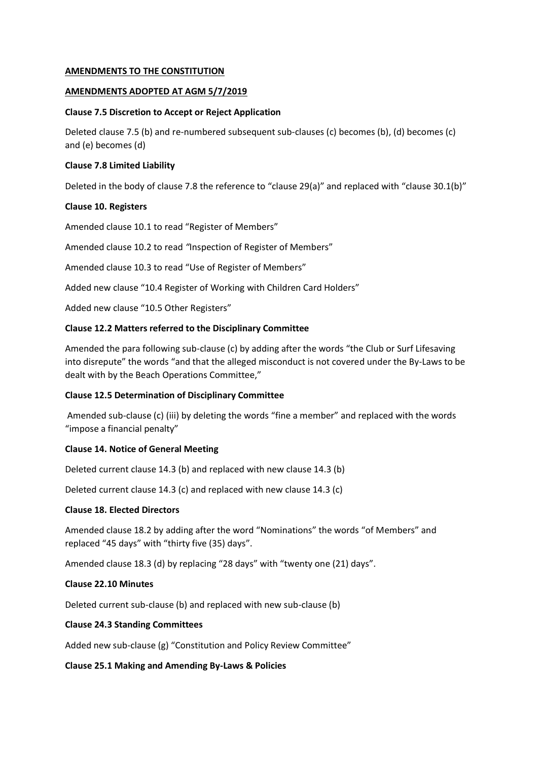# **AMENDMENTS TO THE CONSTITUTION**

## **AMENDMENTS ADOPTED AT AGM 5/7/2019**

## **Clause 7.5 Discretion to Accept or Reject Application**

Deleted clause 7.5 (b) and re-numbered subsequent sub-clauses (c) becomes (b), (d) becomes (c) and (e) becomes (d)

## **Clause 7.8 Limited Liability**

Deleted in the body of clause 7.8 the reference to "clause 29(a)" and replaced with "clause 30.1(b)"

## **Clause 10. Registers**

Amended clause 10.1 to read "Register of Members"

Amended clause 10.2 to read *"*Inspection of Register of Members"

Amended clause 10.3 to read "Use of Register of Members"

Added new clause "10.4 Register of Working with Children Card Holders"

Added new clause "10.5 Other Registers"

## **Clause 12.2 Matters referred to the Disciplinary Committee**

Amended the para following sub-clause (c) by adding after the words "the Club or Surf Lifesaving into disrepute" the words "and that the alleged misconduct is not covered under the By-Laws to be dealt with by the Beach Operations Committee,"

# **Clause 12.5 Determination of Disciplinary Committee**

Amended sub-clause (c) (iii) by deleting the words "fine a member" and replaced with the words "impose a financial penalty"

# **Clause 14. Notice of General Meeting**

Deleted current clause 14.3 (b) and replaced with new clause 14.3 (b)

Deleted current clause 14.3 (c) and replaced with new clause 14.3 (c)

#### **Clause 18. Elected Directors**

Amended clause 18.2 by adding after the word "Nominations" the words "of Members" and replaced "45 days" with "thirty five (35) days".

Amended clause 18.3 (d) by replacing "28 days" with "twenty one (21) days".

#### **Clause 22.10 Minutes**

Deleted current sub-clause (b) and replaced with new sub-clause (b)

# **Clause 24.3 Standing Committees**

Added new sub-clause (g) "Constitution and Policy Review Committee"

#### **Clause 25.1 Making and Amending By-Laws & Policies**